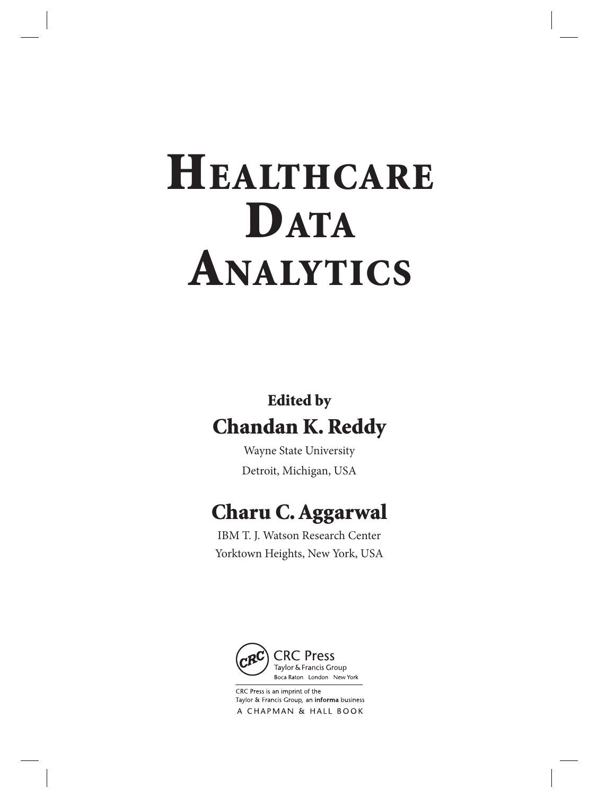# **HEALTHCARE** DATA **ANALYTICS**

Edited by Chandan K. Reddy

> Wayne State University Detroit, Michigan, USA

### Charu C. Aggarwal

IBM T. J. Watson Research Center Yorktown Heights, New York, USA



CRC Press is an imprint of the Taylor & Francis Group, an informa business A CHAPMAN & HALL BOOK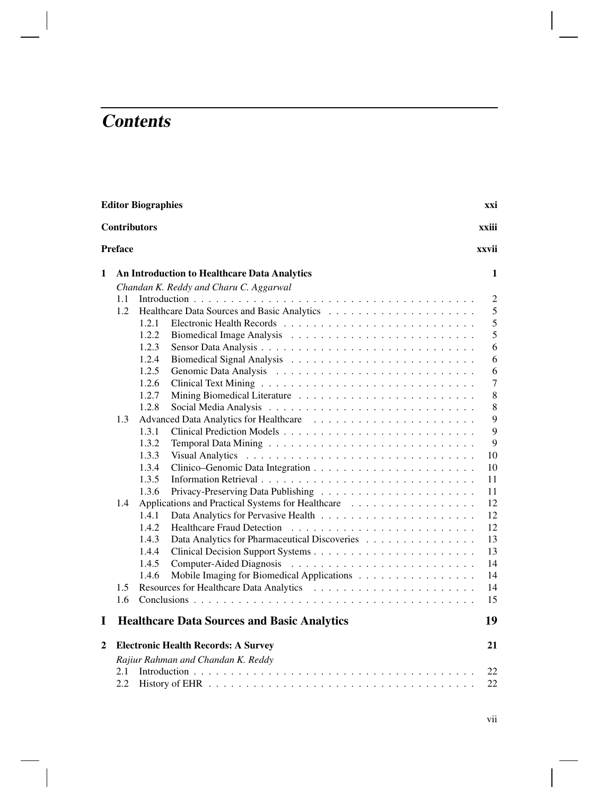### **Contents**

|   |                | <b>Editor Biographies</b> |                                                    | xxi            |
|---|----------------|---------------------------|----------------------------------------------------|----------------|
|   |                | <b>Contributors</b>       |                                                    | xxiii          |
|   | <b>Preface</b> |                           |                                                    | xxvii          |
| 1 |                |                           | An Introduction to Healthcare Data Analytics       | 1              |
|   |                |                           | Chandan K. Reddy and Charu C. Aggarwal             |                |
|   | 1.1            |                           |                                                    | $\mathfrak{2}$ |
|   | 1.2            |                           |                                                    | 5              |
|   |                | 1.2.1                     |                                                    | 5              |
|   |                | 1.2.2                     |                                                    | 5              |
|   |                | 1.2.3                     |                                                    | 6              |
|   |                | 1.2.4                     |                                                    | 6              |
|   |                | 1.2.5                     |                                                    | 6              |
|   |                | 1.2.6                     |                                                    | 7              |
|   |                | 1.2.7                     |                                                    | 8              |
|   |                | 1.2.8                     |                                                    | 8              |
|   | 1.3            |                           |                                                    | 9              |
|   |                | 1.3.1                     |                                                    | 9              |
|   |                | 1.3.2<br>1.3.3            |                                                    | 9<br>10        |
|   |                |                           |                                                    | 10             |
|   |                | 1.3.4<br>1.3.5            |                                                    |                |
|   |                |                           |                                                    | 11             |
|   |                | 1.3.6                     |                                                    | 11             |
|   | 1.4            |                           | Applications and Practical Systems for Healthcare  | 12             |
|   |                | 1.4.1<br>1.4.2            |                                                    | 12<br>12       |
|   |                |                           |                                                    |                |
|   |                | 1.4.3                     | Data Analytics for Pharmaceutical Discoveries      | 13             |
|   |                | 1.4.4                     |                                                    | 13             |
|   |                | 1.4.5                     |                                                    | 14             |
|   |                | 1.4.6                     | Mobile Imaging for Biomedical Applications         | 14             |
|   | 1.5            |                           |                                                    | 14             |
|   | 1.6            |                           |                                                    | 15             |
| I |                |                           | <b>Healthcare Data Sources and Basic Analytics</b> | 19             |
| 2 |                |                           | <b>Electronic Health Records: A Survey</b>         | 21             |
|   |                |                           | Rajiur Rahman and Chandan K. Reddy                 |                |
|   | 2.1<br>2.2     |                           |                                                    | 22<br>22       |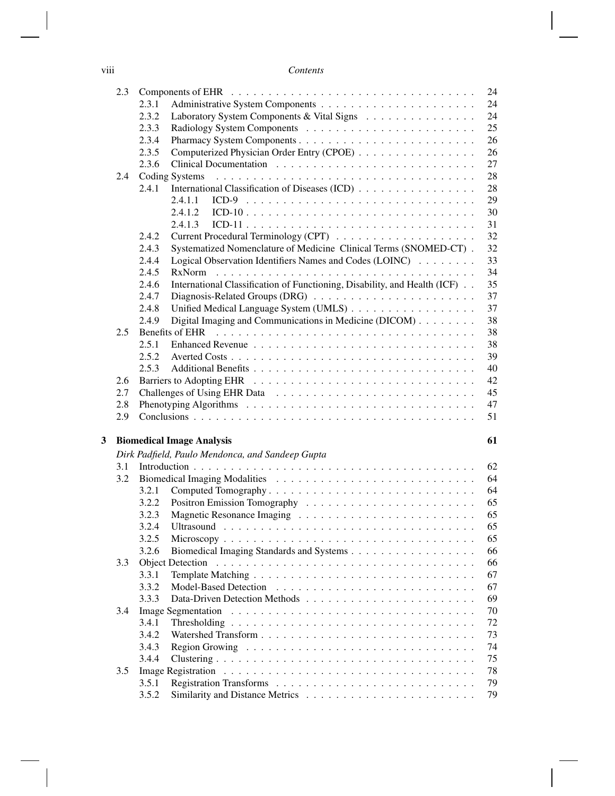### viii *Contents*

|   | 2.3 |                                                                                    | 24       |
|---|-----|------------------------------------------------------------------------------------|----------|
|   |     | 2.3.1                                                                              | 24       |
|   |     | Laboratory System Components & Vital Signs<br>2.3.2                                | 24       |
|   |     | 2.3.3                                                                              | 25       |
|   |     | 2.3.4                                                                              | 26       |
|   |     | Computerized Physician Order Entry (CPOE)<br>2.3.5                                 | 26       |
|   |     | 2.3.6                                                                              | 27       |
|   | 2.4 |                                                                                    | 28       |
|   |     | International Classification of Diseases (ICD)<br>2.4.1                            | 28       |
|   |     | 2.4.1.1                                                                            | 29       |
|   |     | 2.4.1.2                                                                            | 30       |
|   |     | 2.4.1.3                                                                            | 31       |
|   |     | 2.4.2                                                                              | 32       |
|   |     | 2.4.3<br>Systematized Nomenclature of Medicine Clinical Terms (SNOMED-CT).         | 32       |
|   |     | Logical Observation Identifiers Names and Codes (LOINC)<br>2.4.4                   | 33       |
|   |     | 2.4.5                                                                              | 34       |
|   |     | International Classification of Functioning, Disability, and Health (ICF)<br>2.4.6 | 35       |
|   |     | 2.4.7                                                                              | 37       |
|   |     | Unified Medical Language System (UMLS)<br>2.4.8                                    | 37       |
|   |     | Digital Imaging and Communications in Medicine (DICOM)<br>2.4.9                    | 38       |
|   | 2.5 |                                                                                    | 38       |
|   |     | 2.5.1                                                                              | 38       |
|   |     | 2.5.2                                                                              | 39       |
|   |     | 2.5.3                                                                              | 40       |
|   | 2.6 |                                                                                    | 42       |
|   | 2.7 |                                                                                    | 45       |
|   | 2.8 |                                                                                    | 47       |
|   | 2.9 |                                                                                    | 51       |
|   |     |                                                                                    |          |
| 3 |     | <b>Biomedical Image Analysis</b>                                                   | 61       |
|   |     | Dirk Padfield, Paulo Mendonca, and Sandeep Gupta                                   |          |
|   | 3.1 |                                                                                    | 62       |
|   | 3.2 |                                                                                    | 64       |
|   |     | 3.2.1                                                                              | 64       |
|   |     | 3.2.2                                                                              | 65       |
|   |     | 3.2.3                                                                              | 65       |
|   |     | 3.2.4                                                                              | 65       |
|   |     | 3.2.5                                                                              | 65       |
|   |     | 3.2.6                                                                              | 66       |
|   | 3.3 | <b>Object Detection</b>                                                            | 66       |
|   |     | 3.3.1                                                                              | 67       |
|   |     | 3.3.2                                                                              | 67       |
|   |     | 3.3.3                                                                              | 69       |
|   | 3.4 | <b>Image Segmentation</b>                                                          | 70       |
|   |     | 3.4.1                                                                              | 72       |
|   |     | 3.4.2                                                                              | 73       |
|   |     | 3.4.3                                                                              | 74       |
|   |     | 3.4.4                                                                              | 75       |
|   | 3.5 |                                                                                    | 78       |
|   |     |                                                                                    |          |
|   |     |                                                                                    |          |
|   |     | 3.5.1<br>3.5.2                                                                     | 79<br>79 |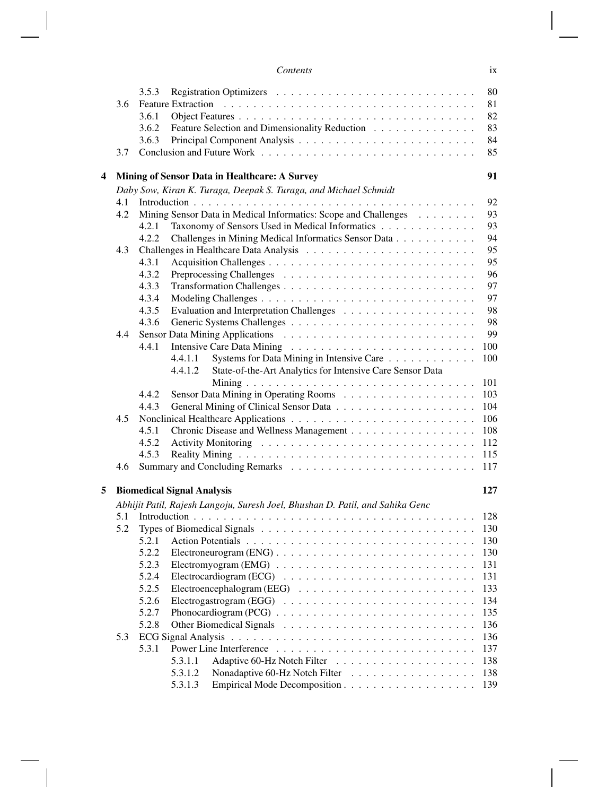| Contents |  |
|----------|--|
|          |  |

|   |     | 3.5.3                             |                                                                                          | 80  |
|---|-----|-----------------------------------|------------------------------------------------------------------------------------------|-----|
|   | 3.6 |                                   |                                                                                          | 81  |
|   |     | 3.6.1                             |                                                                                          | 82  |
|   |     | 3.6.2                             | Feature Selection and Dimensionality Reduction                                           | 83  |
|   |     | 3.6.3                             |                                                                                          | 84  |
|   | 3.7 |                                   |                                                                                          | 85  |
|   |     |                                   |                                                                                          |     |
| 4 |     |                                   | Mining of Sensor Data in Healthcare: A Survey                                            | 91  |
|   |     |                                   | Daby Sow, Kiran K. Turaga, Deepak S. Turaga, and Michael Schmidt                         |     |
|   | 4.1 |                                   |                                                                                          | 92  |
|   | 4.2 |                                   | Mining Sensor Data in Medical Informatics: Scope and Challenges                          | 93  |
|   |     | 4.2.1                             | Taxonomy of Sensors Used in Medical Informatics                                          | 93  |
|   |     | 4.2.2                             | Challenges in Mining Medical Informatics Sensor Data                                     | 94  |
|   | 4.3 |                                   |                                                                                          | 95  |
|   |     | 4.3.1                             |                                                                                          | 95  |
|   |     | 4.3.2                             |                                                                                          | 96  |
|   |     | 4.3.3                             |                                                                                          | 97  |
|   |     | 4.3.4                             |                                                                                          | 97  |
|   |     | 4.3.5                             |                                                                                          | 98  |
|   |     | 4.3.6                             |                                                                                          | 98  |
|   | 4.4 |                                   |                                                                                          | 99  |
|   |     | 4.4.1                             |                                                                                          | 100 |
|   |     | 4.4.1.1                           | Systems for Data Mining in Intensive Care                                                | 100 |
|   |     | 4.4.1.2                           | State-of-the-Art Analytics for Intensive Care Sensor Data                                |     |
|   |     |                                   |                                                                                          | 101 |
|   |     | 4.4.2                             |                                                                                          | 103 |
|   |     | 4.4.3                             |                                                                                          | 104 |
|   | 4.5 |                                   |                                                                                          | 106 |
|   |     | 4.5.1                             |                                                                                          | 108 |
|   |     | 4.5.2                             |                                                                                          | 112 |
|   |     | 4.5.3                             |                                                                                          | 115 |
|   | 4.6 |                                   |                                                                                          | 117 |
|   |     |                                   |                                                                                          |     |
| 5 |     | <b>Biomedical Signal Analysis</b> |                                                                                          | 127 |
|   |     |                                   | Abhijit Patil, Rajesh Langoju, Suresh Joel, Bhushan D. Patil, and Sahika Genc            |     |
|   | 5.1 |                                   |                                                                                          |     |
|   | 5.2 |                                   |                                                                                          | 130 |
|   |     | 5.2.1                             |                                                                                          | 130 |
|   |     | 5.2.2                             |                                                                                          | 130 |
|   |     | 5.2.3                             |                                                                                          | 131 |
|   |     | 5.2.4                             | Electrocardiogram (ECG) $\ldots \ldots \ldots \ldots \ldots \ldots \ldots \ldots \ldots$ | 131 |
|   |     | 5.2.5                             | Electroencephalogram (EEG) $\ldots \ldots \ldots \ldots \ldots \ldots \ldots \ldots$     | 133 |
|   |     | 5.2.6                             | Electrogastrogram $(EGG) \dots \dots \dots \dots \dots \dots \dots \dots \dots \dots$    | 134 |
|   |     | 5.2.7                             | Phonocardiogram (PCG) $\ldots \ldots \ldots \ldots \ldots \ldots \ldots \ldots \ldots$   | 135 |
|   |     | 5.2.8                             |                                                                                          | 136 |
|   | 5.3 |                                   |                                                                                          | 136 |
|   |     | 5.3.1                             |                                                                                          | 137 |
|   |     | 5.3.1.1                           |                                                                                          | 138 |
|   |     | 5.3.1.2                           | Nonadaptive 60-Hz Notch Filter                                                           | 138 |
|   |     | 5.3.1.3                           |                                                                                          | 139 |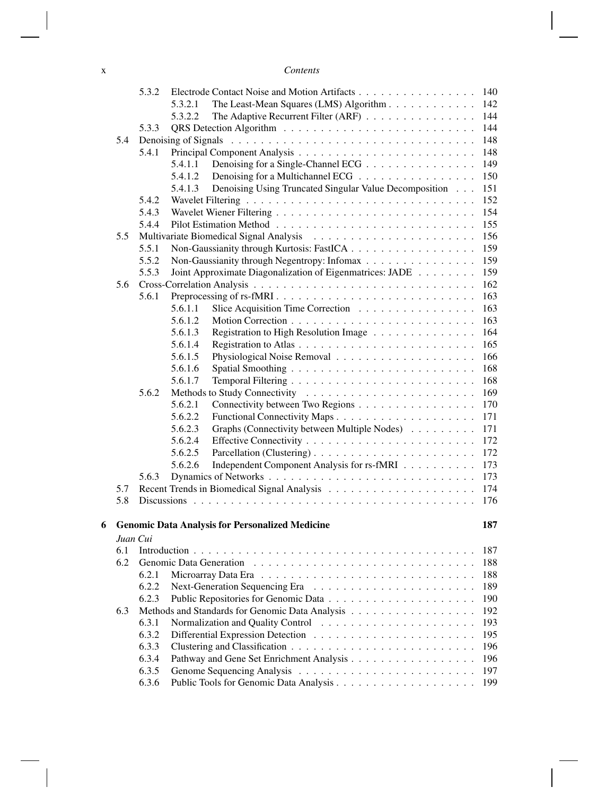|   |     | 5.3.2    | Electrode Contact Noise and Motion Artifacts                      | -140       |
|---|-----|----------|-------------------------------------------------------------------|------------|
|   |     |          | The Least-Mean Squares (LMS) Algorithm<br>5.3.2.1                 | 142        |
|   |     |          | 5.3.2.2<br>The Adaptive Recurrent Filter (ARF)                    | 144        |
|   |     | 5.3.3    |                                                                   | 144        |
|   | 5.4 |          |                                                                   | 148        |
|   |     | 5.4.1    |                                                                   | 148        |
|   |     |          | Denoising for a Single-Channel ECG<br>5.4.1.1                     | 149        |
|   |     |          | Denoising for a Multichannel ECG<br>5.4.1.2                       | 150        |
|   |     |          | Denoising Using Truncated Singular Value Decomposition<br>5.4.1.3 | 151        |
|   |     | 5.4.2    |                                                                   | 152        |
|   |     | 5.4.3    |                                                                   | 154        |
|   |     | 5.4.4    |                                                                   | 155        |
|   | 5.5 |          |                                                                   | 156        |
|   |     | 5.5.1    | Non-Gaussianity through Kurtosis: FastICA                         | 159        |
|   |     | 5.5.2    | Non-Gaussianity through Negentropy: Infomax                       | 159        |
|   |     | 5.5.3    | Joint Approximate Diagonalization of Eigenmatrices: JADE          | 159        |
|   | 5.6 |          |                                                                   | 162        |
|   |     | 5.6.1    | Preprocessing of rs-fMRI                                          | 163        |
|   |     |          | 5.6.1.1<br>Slice Acquisition Time Correction                      | 163        |
|   |     |          | 5.6.1.2                                                           | 163        |
|   |     |          | 5.6.1.3<br>Registration to High Resolution Image                  | 164        |
|   |     |          | 5.6.1.4                                                           | 165        |
|   |     |          | 5.6.1.5                                                           | 166        |
|   |     |          | 5.6.1.6<br>5.6.1.7                                                | 168        |
|   |     | 5.6.2    |                                                                   | 168        |
|   |     |          | 5.6.2.1<br>Connectivity between Two Regions                       | 169<br>170 |
|   |     |          | 5.6.2.2                                                           | 171        |
|   |     |          | 5.6.2.3<br>Graphs (Connectivity between Multiple Nodes)           | 171        |
|   |     |          | 5.6.2.4                                                           | 172        |
|   |     |          | 5.6.2.5                                                           | 172        |
|   |     |          | 5.6.2.6<br>Independent Component Analysis for rs-fMRI             | 173        |
|   |     | 5.6.3    |                                                                   | 173        |
|   | 5.7 |          |                                                                   | 174        |
|   | 5.8 |          |                                                                   | 176        |
|   |     |          |                                                                   |            |
| 6 |     |          | <b>Genomic Data Analysis for Personalized Medicine</b>            | 187        |
|   |     | Juan Cui |                                                                   |            |
|   | 6.1 |          |                                                                   | 187        |
|   | 6.2 |          |                                                                   | 188        |
|   |     | 6.2.1    |                                                                   | 188        |
|   |     | 6.2.2    |                                                                   | 189        |
|   |     | 6.2.3    |                                                                   | 190        |
|   | 6.3 |          | Methods and Standards for Genomic Data Analysis                   | 192        |
|   |     | 6.3.1    |                                                                   | 193        |
|   |     | 6.3.2    |                                                                   | 195        |
|   |     | 6.3.3    |                                                                   | 196        |
|   |     | 6.3.4    |                                                                   | 196        |
|   |     | 6.3.5    |                                                                   | 197        |
|   |     | 6.3.6    |                                                                   | 199        |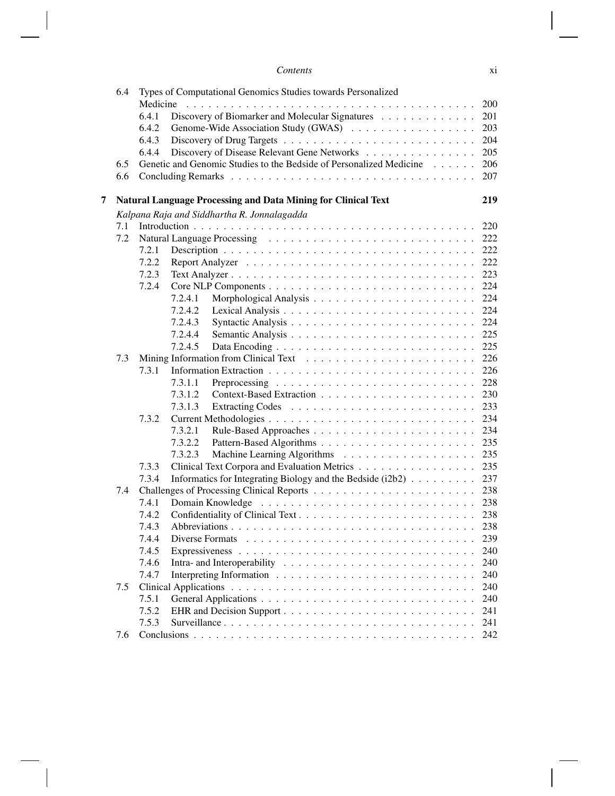| Contents |  |
|----------|--|
|          |  |

|   | 6.4 | Types of Computational Genomics Studies towards Personalized          |     |
|---|-----|-----------------------------------------------------------------------|-----|
|   |     | Medicine                                                              | 200 |
|   |     | Discovery of Biomarker and Molecular Signatures<br>6.4.1              | 201 |
|   |     | 6.4.2                                                                 | 203 |
|   |     | 6.4.3                                                                 | 204 |
|   |     | Discovery of Disease Relevant Gene Networks<br>6.4.4                  | 205 |
|   | 6.5 | Genetic and Genomic Studies to the Bedside of Personalized Medicine   | 206 |
|   | 6.6 |                                                                       | 207 |
|   |     |                                                                       |     |
| 7 |     | <b>Natural Language Processing and Data Mining for Clinical Text</b>  | 219 |
|   |     | Kalpana Raja and Siddhartha R. Jonnalagadda                           |     |
|   | 7.1 |                                                                       | 220 |
|   | 7.2 |                                                                       | 222 |
|   |     | 7.2.1                                                                 | 222 |
|   |     | 7.2.2                                                                 | 222 |
|   |     | 7.2.3                                                                 | 223 |
|   |     | 7.2.4                                                                 | 224 |
|   |     | 7.2.4.1                                                               | 224 |
|   |     | 7.2.4.2                                                               | 224 |
|   |     | 7.2.4.3                                                               | 224 |
|   |     | 7.2.4.4                                                               | 225 |
|   |     | 7.2.4.5                                                               | 225 |
|   | 7.3 |                                                                       | 226 |
|   |     | 7.3.1                                                                 | 226 |
|   |     | 7.3.1.1                                                               | 228 |
|   |     | 7.3.1.2                                                               | 230 |
|   |     | 7.3.1.3                                                               | 233 |
|   |     | 7.3.2                                                                 | 234 |
|   |     | 7.3.2.1                                                               | 234 |
|   |     | 7.3.2.2                                                               | 235 |
|   |     | 7.3.2.3                                                               | 235 |
|   |     | 7.3.3<br>Clinical Text Corpora and Evaluation Metrics                 | 235 |
|   |     | 7.3.4<br>Informatics for Integrating Biology and the Bedside $(i2b2)$ | 237 |
|   | 7.4 |                                                                       | 238 |
|   |     | 7.4.1                                                                 | 238 |
|   |     | Confidentiality of Clinical Text<br>7.4.2                             | 238 |
|   |     | 7.4.3                                                                 | 238 |
|   |     |                                                                       |     |
|   |     | 7.4.4<br>Diverse Formats                                              | 239 |
|   |     | 7.4.5                                                                 | 240 |
|   |     | 7.4.6                                                                 | 240 |
|   |     | 7.4.7                                                                 | 240 |
|   | 7.5 |                                                                       | 240 |
|   |     | 7.5.1                                                                 | 240 |
|   |     | 7.5.2                                                                 | 241 |
|   |     | 7.5.3<br>Surveillance                                                 | 241 |
|   | 7.6 |                                                                       | 242 |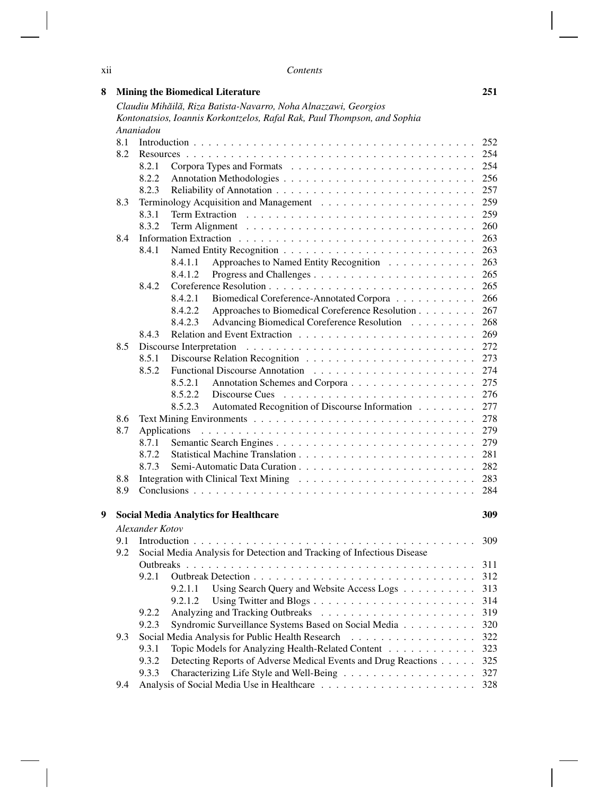#### xii *Contents*

| 8 |     | <b>Mining the Biomedical Literature</b>                                                         | 251 |
|---|-----|-------------------------------------------------------------------------------------------------|-----|
|   |     | Claudiu Mihăilă, Riza Batista-Navarro, Noha Alnazzawi, Georgios                                 |     |
|   |     | Kontonatsios, Ioannis Korkontzelos, Rafal Rak, Paul Thompson, and Sophia                        |     |
|   |     | Ananiadou                                                                                       |     |
|   | 8.1 |                                                                                                 | 252 |
|   | 8.2 |                                                                                                 | 254 |
|   |     | 8.2.1                                                                                           | 254 |
|   |     | 8.2.2                                                                                           | 256 |
|   |     | 8.2.3                                                                                           | 257 |
|   | 8.3 |                                                                                                 | 259 |
|   |     | 8.3.1<br><b>Term Extraction</b>                                                                 | 259 |
|   |     | 8.3.2<br>Term Alignment $\ldots \ldots \ldots \ldots \ldots \ldots \ldots \ldots \ldots \ldots$ | 260 |
|   | 8.4 |                                                                                                 | 263 |
|   |     | 8.4.1                                                                                           | 263 |
|   |     | Approaches to Named Entity Recognition<br>8.4.1.1                                               | 263 |
|   |     | 8.4.1.2                                                                                         | 265 |
|   |     | 8.4.2                                                                                           | 265 |
|   |     | Biomedical Coreference-Annotated Corpora<br>8.4.2.1                                             | 266 |
|   |     | 8.4.2.2<br>Approaches to Biomedical Coreference Resolution                                      | 267 |
|   |     | Advancing Biomedical Coreference Resolution<br>8.4.2.3                                          | 268 |
|   |     | 8.4.3                                                                                           | 269 |
|   | 8.5 |                                                                                                 | 272 |
|   |     | 8.5.1                                                                                           | 273 |
|   |     | 8.5.2                                                                                           | 274 |
|   |     | Annotation Schemes and Corpora<br>8.5.2.1                                                       | 275 |
|   |     | 8.5.2.2<br>Discourse Cues                                                                       | 276 |
|   |     | Automated Recognition of Discourse Information<br>8.5.2.3                                       | 277 |
|   | 8.6 |                                                                                                 | 278 |
|   | 8.7 | Applications                                                                                    | 279 |
|   |     | 8.7.1                                                                                           | 279 |
|   |     | 8.7.2                                                                                           | 281 |
|   |     | 8.7.3                                                                                           | 282 |
|   | 8.8 |                                                                                                 | 283 |
|   | 8.9 |                                                                                                 | 284 |
|   |     |                                                                                                 |     |
| 9 |     | <b>Social Media Analytics for Healthcare</b>                                                    | 309 |
|   |     | Alexander Kotov                                                                                 |     |
|   | 9.1 |                                                                                                 | 309 |
|   | 9.2 | Social Media Analysis for Detection and Tracking of Infectious Disease                          |     |
|   |     |                                                                                                 | 311 |
|   |     | 9.2.1                                                                                           | 312 |
|   |     | Using Search Query and Website Access Logs<br>9.2.1.1                                           | 313 |
|   |     | 9.2.1.2<br>Using Twitter and Blogs                                                              | 314 |
|   |     | 9.2.2                                                                                           | 319 |
|   |     | Syndromic Surveillance Systems Based on Social Media<br>9.2.3                                   | 320 |
|   | 9.3 | Social Media Analysis for Public Health Research                                                | 322 |
|   |     | Topic Models for Analyzing Health-Related Content<br>9.3.1                                      | 323 |
|   |     | Detecting Reports of Adverse Medical Events and Drug Reactions<br>9.3.2                         | 325 |
|   |     | 9.3.3                                                                                           | 327 |
|   |     |                                                                                                 |     |
|   | 9.4 |                                                                                                 | 328 |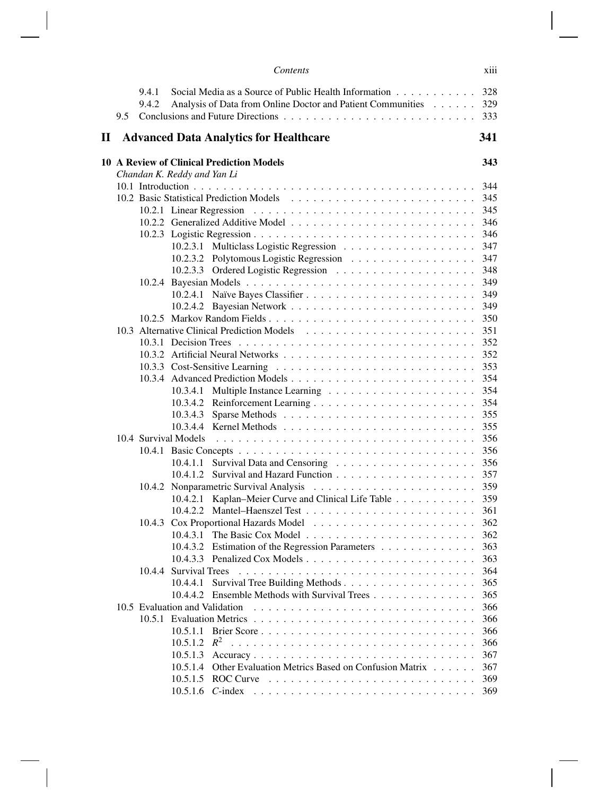|                      | Contents                                                       | xiii |
|----------------------|----------------------------------------------------------------|------|
| 9.4.1                | Social Media as a Source of Public Health Information          | 328  |
| 9.4.2                | Analysis of Data from Online Doctor and Patient Communities    | 329  |
| 9.5                  |                                                                | 333  |
| $\mathbf H$          | <b>Advanced Data Analytics for Healthcare</b>                  | 341  |
|                      | <b>10 A Review of Clinical Prediction Models</b>               | 343  |
|                      | Chandan K. Reddy and Yan Li                                    |      |
|                      |                                                                | 344  |
|                      |                                                                | 345  |
|                      |                                                                | 345  |
|                      |                                                                | 346  |
|                      |                                                                | 346  |
|                      |                                                                | 347  |
|                      |                                                                | 347  |
|                      |                                                                | 348  |
|                      |                                                                | 349  |
|                      |                                                                | 349  |
|                      |                                                                | 349  |
|                      |                                                                | 350  |
|                      |                                                                | 351  |
|                      |                                                                | 352  |
|                      |                                                                | 352  |
|                      |                                                                | 353  |
|                      |                                                                | 354  |
|                      |                                                                | 354  |
|                      |                                                                | 354  |
|                      | 10.3.4.3                                                       | 355  |
|                      |                                                                | 355  |
| 10.4 Survival Models |                                                                | 356  |
|                      |                                                                | 356  |
|                      | 10.4.1.1                                                       | 356  |
|                      | 10.4.1.2                                                       | 357  |
|                      |                                                                | 359  |
|                      | Kaplan–Meier Curve and Clinical Life Table<br>10.4.2.1         | 359  |
|                      |                                                                | 361  |
|                      | 10.4.3 Cox Proportional Hazards Model                          | 362  |
|                      |                                                                | 362  |
|                      | Estimation of the Regression Parameters<br>10.4.3.2            | 363  |
|                      |                                                                | 363  |
|                      | 10.4.4 Survival Trees                                          | 364  |
|                      | 10.4.4.1                                                       | 365  |
|                      | 10.4.4.2 Ensemble Methods with Survival Trees                  | 365  |
|                      | 10.5 Evaluation and Validation                                 | 366  |
|                      |                                                                | 366  |
|                      | 10.5.1.1                                                       | 366  |
|                      | 10.5.1.2 $R^2$                                                 | 366  |
|                      | 10.5.1.3<br>Accuracy                                           | 367  |
|                      | Other Evaluation Metrics Based on Confusion Matrix<br>10.5.1.4 | 367  |
|                      | ROC Curve<br>10.5.1.5                                          | 369  |
|                      |                                                                |      |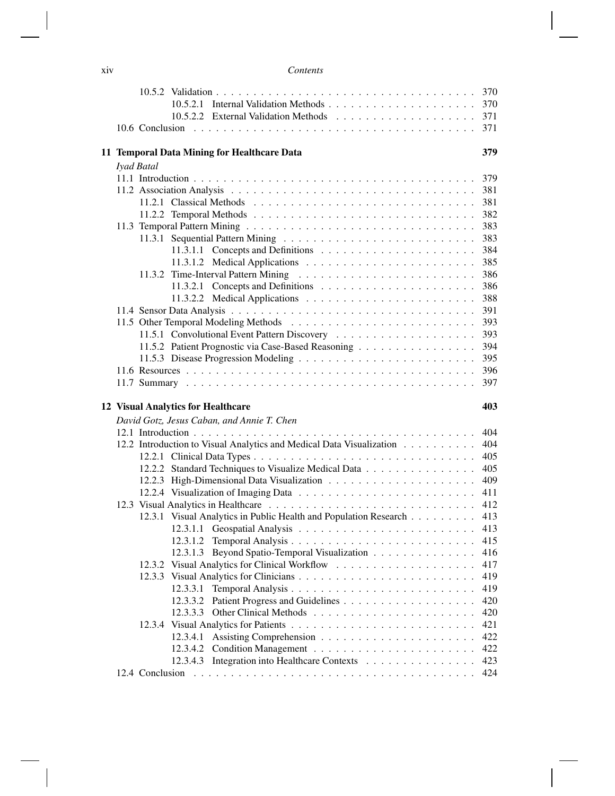|  | 11 Temporal Data Mining for Healthcare Data                                                     | 379 |
|--|-------------------------------------------------------------------------------------------------|-----|
|  | <b>Iyad Batal</b>                                                                               |     |
|  |                                                                                                 |     |
|  |                                                                                                 |     |
|  |                                                                                                 |     |
|  |                                                                                                 |     |
|  |                                                                                                 |     |
|  |                                                                                                 |     |
|  | 11.3.1.1 Concepts and Definitions $\ldots \ldots \ldots \ldots \ldots \ldots \ldots \ldots$ 384 |     |
|  |                                                                                                 |     |
|  |                                                                                                 |     |
|  | 11.3.2.1 Concepts and Definitions $\ldots \ldots \ldots \ldots \ldots \ldots \ldots$            | 386 |
|  |                                                                                                 |     |
|  |                                                                                                 | 391 |
|  |                                                                                                 | 393 |
|  |                                                                                                 | 393 |
|  |                                                                                                 | 394 |
|  |                                                                                                 | 395 |
|  |                                                                                                 |     |
|  |                                                                                                 |     |
|  |                                                                                                 | 397 |
|  | 12 Visual Analytics for Healthcare                                                              | 403 |
|  |                                                                                                 |     |
|  | David Gotz, Jesus Caban, and Annie T. Chen                                                      | 404 |
|  |                                                                                                 | 404 |
|  | 12.2 Introduction to Visual Analytics and Medical Data Visualization                            | 405 |
|  |                                                                                                 | 405 |
|  | 12.2.2 Standard Techniques to Visualize Medical Data                                            | 409 |
|  |                                                                                                 | 411 |
|  |                                                                                                 | 412 |
|  |                                                                                                 | 413 |
|  | 12.3.1 Visual Analytics in Public Health and Population Research                                | 413 |
|  |                                                                                                 | 415 |
|  | 12.3.1.2<br>12.3.1.3                                                                            | 416 |
|  | Beyond Spatio-Temporal Visualization                                                            | 417 |
|  |                                                                                                 | 419 |
|  | 12.3.3.1                                                                                        | 419 |
|  |                                                                                                 | 420 |
|  | 12.3.3.3                                                                                        | 420 |
|  |                                                                                                 | 421 |
|  | 12.3.4.1                                                                                        | 422 |
|  | 12.3.4.2                                                                                        | 422 |
|  | 12.3.4.3 Integration into Healthcare Contexts                                                   | 423 |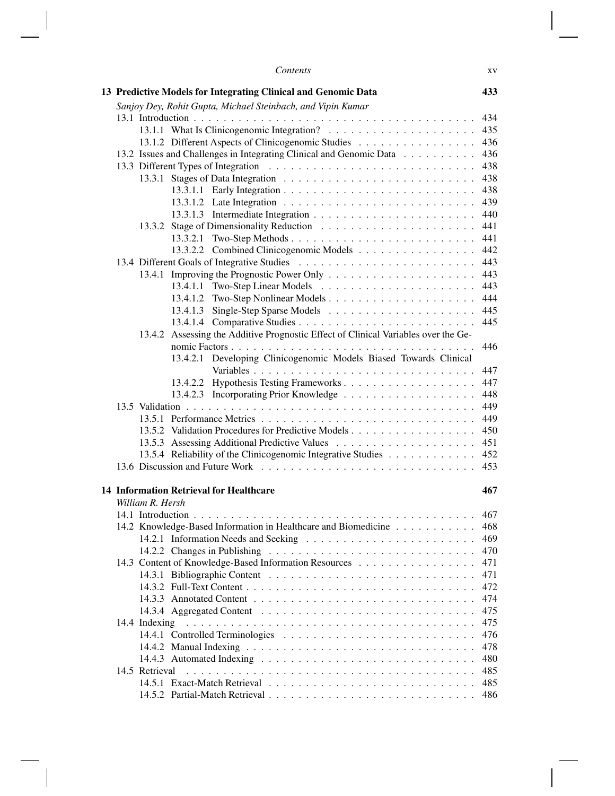| Contents                                                                            | XV  |  |
|-------------------------------------------------------------------------------------|-----|--|
| 13 Predictive Models for Integrating Clinical and Genomic Data                      | 433 |  |
| Sanjoy Dey, Rohit Gupta, Michael Steinbach, and Vipin Kumar                         |     |  |
|                                                                                     | 434 |  |
|                                                                                     | 435 |  |
| 13.1.2 Different Aspects of Clinicogenomic Studies                                  | 436 |  |
| 13.2 Issues and Challenges in Integrating Clinical and Genomic Data                 | 436 |  |
|                                                                                     | 438 |  |
|                                                                                     | 438 |  |
|                                                                                     | 438 |  |
| 13.3.1.2 Late Integration $\ldots \ldots \ldots \ldots \ldots \ldots \ldots \ldots$ | 439 |  |
|                                                                                     | 440 |  |
|                                                                                     | 441 |  |
|                                                                                     | 441 |  |
| 13.3.2.2 Combined Clinicogenomic Models                                             | 442 |  |
|                                                                                     | 443 |  |
|                                                                                     | 443 |  |
|                                                                                     | 443 |  |
|                                                                                     | 444 |  |
|                                                                                     | 445 |  |
|                                                                                     | 445 |  |
| 13.4.2 Assessing the Additive Prognostic Effect of Clinical Variables over the Ge-  |     |  |
|                                                                                     | 446 |  |
| 13.4.2.1 Developing Clinicogenomic Models Biased Towards Clinical                   |     |  |
|                                                                                     | 447 |  |
|                                                                                     | 447 |  |
|                                                                                     | 448 |  |
|                                                                                     | 449 |  |
|                                                                                     | 449 |  |
|                                                                                     | 450 |  |
|                                                                                     | 451 |  |
| 13.5.4 Reliability of the Clinicogenomic Integrative Studies                        | 452 |  |
|                                                                                     | 453 |  |
| <b>14 Information Retrieval for Healthcare</b>                                      | 467 |  |
| William R. Hersh                                                                    |     |  |
|                                                                                     | 467 |  |
| 14.2 Knowledge-Based Information in Healthcare and Biomedicine                      | 468 |  |
|                                                                                     | 469 |  |
|                                                                                     | 470 |  |
| 14.3 Content of Knowledge-Based Information Resources                               | 471 |  |
|                                                                                     | 471 |  |
|                                                                                     | 472 |  |
|                                                                                     | 474 |  |
|                                                                                     | 475 |  |
| 14.4 Indexing                                                                       | 475 |  |
|                                                                                     | 476 |  |
|                                                                                     | 478 |  |
|                                                                                     | 480 |  |
| 14.5 Retrieval                                                                      | 485 |  |
|                                                                                     | 485 |  |
|                                                                                     | 486 |  |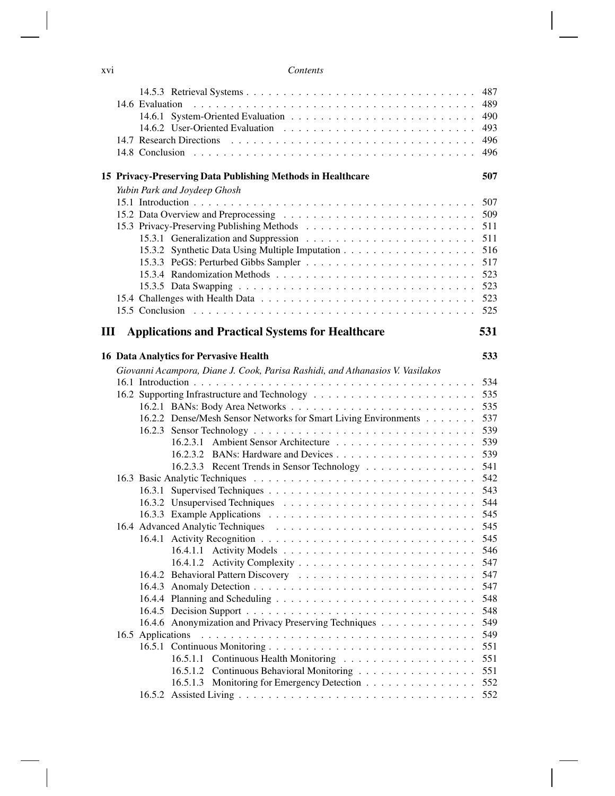| XV1 | Contents |
|-----|----------|
|     |          |

|   |                                                                               | 487        |
|---|-------------------------------------------------------------------------------|------------|
|   | 14.6 Evaluation                                                               | 489        |
|   |                                                                               | 490        |
|   |                                                                               | 493        |
|   |                                                                               | 496        |
|   |                                                                               | 496        |
|   | 15 Privacy-Preserving Data Publishing Methods in Healthcare                   | 507        |
|   | Yubin Park and Joydeep Ghosh                                                  |            |
|   |                                                                               | 507        |
|   |                                                                               |            |
|   |                                                                               |            |
|   |                                                                               |            |
|   |                                                                               |            |
|   |                                                                               |            |
|   |                                                                               |            |
|   |                                                                               |            |
|   |                                                                               |            |
|   |                                                                               |            |
| Ш | <b>Applications and Practical Systems for Healthcare</b>                      | 531        |
|   | 16 Data Analytics for Pervasive Health                                        | 533        |
|   | Giovanni Acampora, Diane J. Cook, Parisa Rashidi, and Athanasios V. Vasilakos |            |
|   |                                                                               |            |
|   |                                                                               |            |
|   |                                                                               |            |
|   | 16.2.2 Dense/Mesh Sensor Networks for Smart Living Environments               | 537        |
|   |                                                                               | 539        |
|   |                                                                               | 539        |
|   |                                                                               | 539        |
|   | 16.2.3.3 Recent Trends in Sensor Technology 541                               |            |
|   |                                                                               |            |
|   |                                                                               |            |
|   |                                                                               |            |
|   |                                                                               |            |
|   |                                                                               | 545        |
|   | 16.4.1.1                                                                      | 546        |
|   | 16.4.1.2                                                                      | 547        |
|   |                                                                               |            |
|   |                                                                               | 547        |
|   |                                                                               | 547        |
|   |                                                                               | 548        |
|   |                                                                               | 548        |
|   | 16.4.6 Anonymization and Privacy Preserving Techniques                        | 549        |
|   | 16.5 Applications                                                             | 549        |
|   |                                                                               | 551        |
|   |                                                                               | 551        |
|   | 16.5.1.2 Continuous Behavioral Monitoring                                     | 551        |
|   | 16.5.1.3 Monitoring for Emergency Detection                                   | 552<br>552 |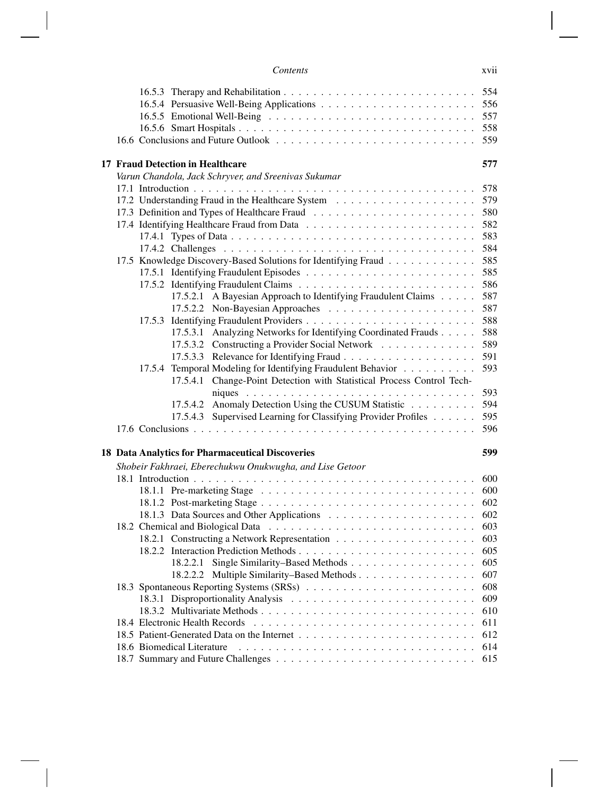| Contents                                                               | xvii |
|------------------------------------------------------------------------|------|
|                                                                        |      |
|                                                                        |      |
|                                                                        |      |
|                                                                        |      |
|                                                                        |      |
|                                                                        | 559  |
| 17 Fraud Detection in Healthcare                                       | 577  |
| Varun Chandola, Jack Schryver, and Sreenivas Sukumar                   |      |
|                                                                        |      |
|                                                                        |      |
|                                                                        |      |
|                                                                        |      |
|                                                                        |      |
|                                                                        |      |
| 17.5 Knowledge Discovery-Based Solutions for Identifying Fraud 585     |      |
|                                                                        |      |
|                                                                        |      |
| 17.5.2.1 A Bayesian Approach to Identifying Fraudulent Claims 587      |      |
|                                                                        |      |
|                                                                        |      |
| 17.5.3.1 Analyzing Networks for Identifying Coordinated Frauds 588     |      |
| 17.5.3.2 Constructing a Provider Social Network                        | 589  |
|                                                                        | 591  |
| 17.5.4 Temporal Modeling for Identifying Fraudulent Behavior           | 593  |
| 17.5.4.1 Change-Point Detection with Statistical Process Control Tech- |      |
|                                                                        |      |
| 17.5.4.2 Anomaly Detection Using the CUSUM Statistic 594               |      |
| 17.5.4.3 Supervised Learning for Classifying Provider Profiles         | 595  |
|                                                                        | 596  |
|                                                                        |      |
| 18 Data Analytics for Pharmaceutical Discoveries                       | 599  |
| Shobeir Fakhraei, Eberechukwu Onukwugha, and Lise Getoor               |      |
|                                                                        |      |
|                                                                        |      |
|                                                                        |      |
|                                                                        | 602  |
|                                                                        | 603  |
|                                                                        | 603  |
|                                                                        | 605  |
| Single Similarity-Based Methods<br>18.2.2.1                            | 605  |
| Multiple Similarity-Based Methods<br>18.2.2.2                          | 607  |
|                                                                        | 608  |
|                                                                        | 609  |
|                                                                        | 610  |
| 18.4 Electronic Health Records                                         | 611  |
|                                                                        | 612  |
| 18.6 Biomedical Literature                                             | 614  |
|                                                                        | 615  |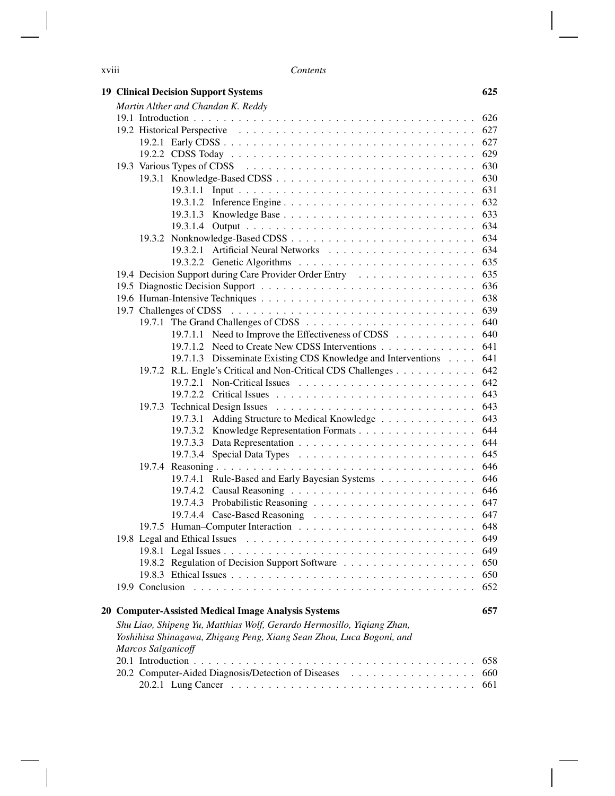xviii *Contents*

|                                    |                           | <b>19 Clinical Decision Support Systems</b>                            | 625 |
|------------------------------------|---------------------------|------------------------------------------------------------------------|-----|
| Martin Alther and Chandan K. Reddy |                           |                                                                        |     |
|                                    |                           |                                                                        | 626 |
|                                    |                           |                                                                        | 627 |
|                                    |                           |                                                                        | 627 |
|                                    |                           |                                                                        | 629 |
|                                    |                           |                                                                        | 630 |
|                                    |                           |                                                                        | 630 |
|                                    |                           |                                                                        | 631 |
|                                    |                           |                                                                        | 632 |
|                                    |                           |                                                                        | 633 |
|                                    |                           |                                                                        | 634 |
|                                    |                           |                                                                        | 634 |
|                                    |                           |                                                                        |     |
|                                    |                           | 19.3.2.1                                                               | 634 |
|                                    |                           |                                                                        | 635 |
|                                    |                           | 19.4 Decision Support during Care Provider Order Entry                 | 635 |
|                                    |                           |                                                                        | 636 |
|                                    |                           |                                                                        | 638 |
|                                    |                           |                                                                        | 639 |
|                                    |                           |                                                                        | 640 |
|                                    |                           | Need to Improve the Effectiveness of CDSS<br>19.7.1.1                  | 640 |
|                                    |                           | 19.7.1.2 Need to Create New CDSS Interventions                         | 641 |
|                                    |                           | Disseminate Existing CDS Knowledge and Interventions<br>19.7.1.3       | 641 |
|                                    |                           | 19.7.2 R.L. Engle's Critical and Non-Critical CDS Challenges           | 642 |
|                                    |                           | 19.7.2.1                                                               | 642 |
|                                    |                           |                                                                        | 643 |
|                                    |                           |                                                                        | 643 |
|                                    |                           | Adding Structure to Medical Knowledge<br>19.7.3.1                      | 643 |
|                                    |                           | Knowledge Representation Formats<br>19.7.3.2                           | 644 |
|                                    |                           | 19.7.3.3                                                               | 644 |
|                                    |                           | 19.7.3.4                                                               | 645 |
|                                    |                           |                                                                        | 646 |
|                                    |                           | 19.7.4.1<br>Rule-Based and Early Bayesian Systems                      | 646 |
|                                    |                           | 19.7.4.2                                                               | 646 |
|                                    |                           | 19.7.4.3                                                               | 647 |
|                                    |                           | 19.7.4.4                                                               | 647 |
|                                    |                           |                                                                        |     |
|                                    |                           |                                                                        | 648 |
|                                    |                           |                                                                        | 649 |
|                                    |                           |                                                                        | 649 |
|                                    |                           |                                                                        | 650 |
|                                    |                           |                                                                        | 650 |
|                                    |                           |                                                                        | 652 |
|                                    |                           | 20 Computer-Assisted Medical Image Analysis Systems                    | 657 |
|                                    |                           | Shu Liao, Shipeng Yu, Matthias Wolf, Gerardo Hermosillo, Yiqiang Zhan, |     |
|                                    |                           | Yoshihisa Shinagawa, Zhigang Peng, Xiang Sean Zhou, Luca Bogoni, and   |     |
|                                    | <b>Marcos Salganicoff</b> |                                                                        |     |
|                                    |                           |                                                                        | 658 |
|                                    |                           | 20.2 Computer-Aided Diagnosis/Detection of Diseases                    | 660 |
|                                    |                           |                                                                        | 661 |
|                                    |                           |                                                                        |     |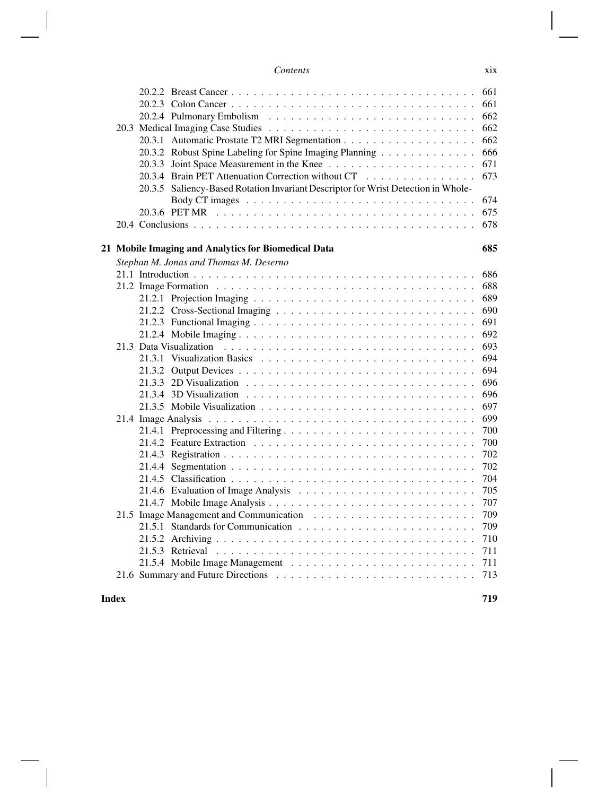| Contents | X1X |
|----------|-----|
|          |     |

|  | 20.3.2 Robust Spine Labeling for Spine Imaging Planning                           | 661<br>661<br>662<br>662<br>662<br>666<br>671 |
|--|-----------------------------------------------------------------------------------|-----------------------------------------------|
|  | 20.3.4 Brain PET Attenuation Correction without CT                                | 673                                           |
|  | 20.3.5 Saliency-Based Rotation Invariant Descriptor for Wrist Detection in Whole- |                                               |
|  |                                                                                   | 674                                           |
|  |                                                                                   | 675<br>678                                    |
|  |                                                                                   |                                               |
|  | 21 Mobile Imaging and Analytics for Biomedical Data                               | 685                                           |
|  | Stephan M. Jonas and Thomas M. Deserno                                            |                                               |
|  |                                                                                   | 686                                           |
|  |                                                                                   | 688                                           |
|  |                                                                                   | 689                                           |
|  |                                                                                   | 690                                           |
|  |                                                                                   | 691                                           |
|  |                                                                                   | 692                                           |
|  |                                                                                   | 693                                           |
|  |                                                                                   | 694                                           |
|  |                                                                                   | 694                                           |
|  |                                                                                   | 696                                           |
|  |                                                                                   | 696                                           |
|  |                                                                                   | 697                                           |
|  |                                                                                   | 699                                           |
|  |                                                                                   | 700                                           |
|  |                                                                                   | 700                                           |
|  |                                                                                   | 702                                           |
|  |                                                                                   | 702                                           |
|  |                                                                                   | 704                                           |
|  |                                                                                   | 705                                           |
|  |                                                                                   | 707                                           |
|  |                                                                                   | 709                                           |
|  |                                                                                   | 709                                           |
|  |                                                                                   | 710                                           |
|  |                                                                                   | 711                                           |
|  |                                                                                   | 711                                           |
|  |                                                                                   | 713                                           |

Index 719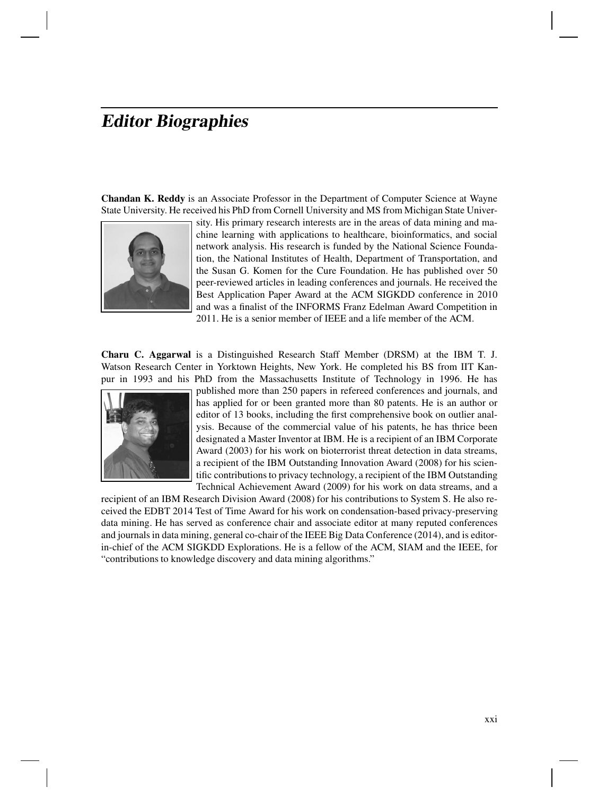### Editor Biographies

Chandan K. Reddy is an Associate Professor in the Department of Computer Science at Wayne State University. He received his PhD from Cornell University and MS from Michigan State Univer-



sity. His primary research interests are in the areas of data mining and machine learning with applications to healthcare, bioinformatics, and social network analysis. His research is funded by the National Science Foundation, the National Institutes of Health, Department of Transportation, and the Susan G. Komen for the Cure Foundation. He has published over 50 peer-reviewed articles in leading conferences and journals. He received the Best Application Paper Award at the ACM SIGKDD conference in 2010 and was a finalist of the INFORMS Franz Edelman Award Competition in 2011. He is a senior member of IEEE and a life member of the ACM.

Charu C. Aggarwal is a Distinguished Research Staff Member (DRSM) at the IBM T. J. Watson Research Center in Yorktown Heights, New York. He completed his BS from IIT Kanpur in 1993 and his PhD from the Massachusetts Institute of Technology in 1996. He has



published more than 250 papers in refereed conferences and journals, and has applied for or been granted more than 80 patents. He is an author or editor of 13 books, including the first comprehensive book on outlier analysis. Because of the commercial value of his patents, he has thrice been designated a Master Inventor at IBM. He is a recipient of an IBM Corporate Award (2003) for his work on bioterrorist threat detection in data streams, a recipient of the IBM Outstanding Innovation Award (2008) for his scientific contributions to privacy technology, a recipient of the IBM Outstanding Technical Achievement Award (2009) for his work on data streams, and a

recipient of an IBM Research Division Award (2008) for his contributions to System S. He also received the EDBT 2014 Test of Time Award for his work on condensation-based privacy-preserving data mining. He has served as conference chair and associate editor at many reputed conferences and journals in data mining, general co-chair of the IEEE Big Data Conference (2014), and is editorin-chief of the ACM SIGKDD Explorations. He is a fellow of the ACM, SIAM and the IEEE, for "contributions to knowledge discovery and data mining algorithms."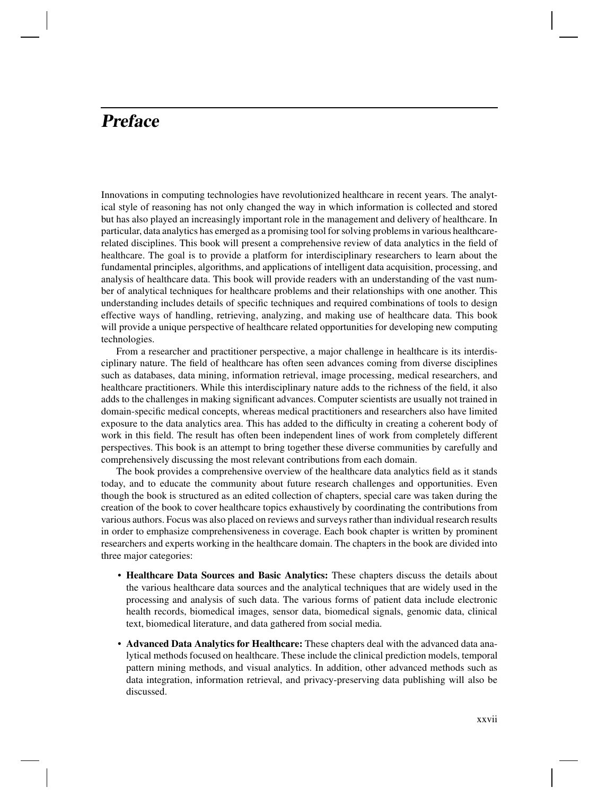### **Preface**

Innovations in computing technologies have revolutionized healthcare in recent years. The analytical style of reasoning has not only changed the way in which information is collected and stored but has also played an increasingly important role in the management and delivery of healthcare. In particular, data analytics has emerged as a promising tool for solving problems in various healthcarerelated disciplines. This book will present a comprehensive review of data analytics in the field of healthcare. The goal is to provide a platform for interdisciplinary researchers to learn about the fundamental principles, algorithms, and applications of intelligent data acquisition, processing, and analysis of healthcare data. This book will provide readers with an understanding of the vast number of analytical techniques for healthcare problems and their relationships with one another. This understanding includes details of specific techniques and required combinations of tools to design effective ways of handling, retrieving, analyzing, and making use of healthcare data. This book will provide a unique perspective of healthcare related opportunities for developing new computing technologies.

From a researcher and practitioner perspective, a major challenge in healthcare is its interdisciplinary nature. The field of healthcare has often seen advances coming from diverse disciplines such as databases, data mining, information retrieval, image processing, medical researchers, and healthcare practitioners. While this interdisciplinary nature adds to the richness of the field, it also adds to the challenges in making significant advances. Computer scientists are usually not trained in domain-specific medical concepts, whereas medical practitioners and researchers also have limited exposure to the data analytics area. This has added to the difficulty in creating a coherent body of work in this field. The result has often been independent lines of work from completely different perspectives. This book is an attempt to bring together these diverse communities by carefully and comprehensively discussing the most relevant contributions from each domain.

The book provides a comprehensive overview of the healthcare data analytics field as it stands today, and to educate the community about future research challenges and opportunities. Even though the book is structured as an edited collection of chapters, special care was taken during the creation of the book to cover healthcare topics exhaustively by coordinating the contributions from various authors. Focus was also placed on reviews and surveys rather than individual research results in order to emphasize comprehensiveness in coverage. Each book chapter is written by prominent researchers and experts working in the healthcare domain. The chapters in the book are divided into three major categories:

- Healthcare Data Sources and Basic Analytics: These chapters discuss the details about the various healthcare data sources and the analytical techniques that are widely used in the processing and analysis of such data. The various forms of patient data include electronic health records, biomedical images, sensor data, biomedical signals, genomic data, clinical text, biomedical literature, and data gathered from social media.
- Advanced Data Analytics for Healthcare: These chapters deal with the advanced data analytical methods focused on healthcare. These include the clinical prediction models, temporal pattern mining methods, and visual analytics. In addition, other advanced methods such as data integration, information retrieval, and privacy-preserving data publishing will also be discussed.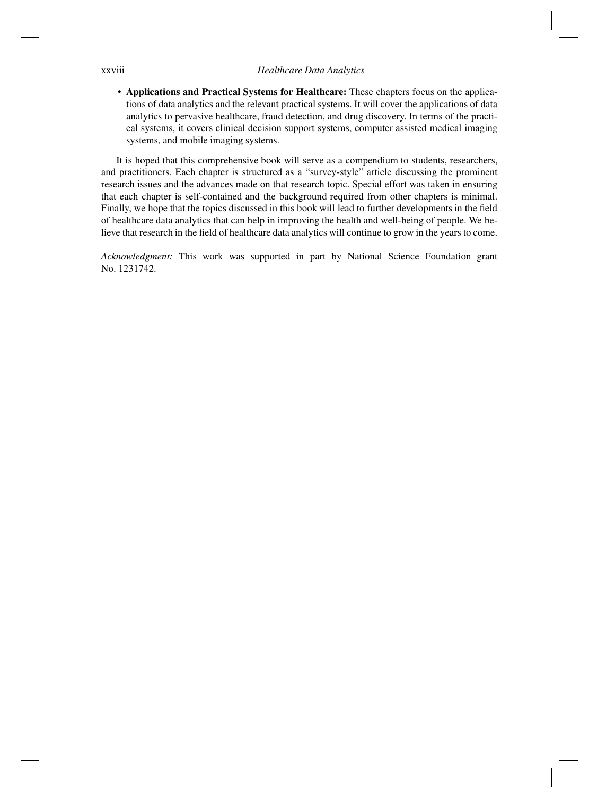#### xxviii *Healthcare Data Analytics*

• Applications and Practical Systems for Healthcare: These chapters focus on the applications of data analytics and the relevant practical systems. It will cover the applications of data analytics to pervasive healthcare, fraud detection, and drug discovery. In terms of the practical systems, it covers clinical decision support systems, computer assisted medical imaging systems, and mobile imaging systems.

It is hoped that this comprehensive book will serve as a compendium to students, researchers, and practitioners. Each chapter is structured as a "survey-style" article discussing the prominent research issues and the advances made on that research topic. Special effort was taken in ensuring that each chapter is self-contained and the background required from other chapters is minimal. Finally, we hope that the topics discussed in this book will lead to further developments in the field of healthcare data analytics that can help in improving the health and well-being of people. We believe that research in the field of healthcare data analytics will continue to grow in the years to come.

*Acknowledgment:* This work was supported in part by National Science Foundation grant No. 1231742.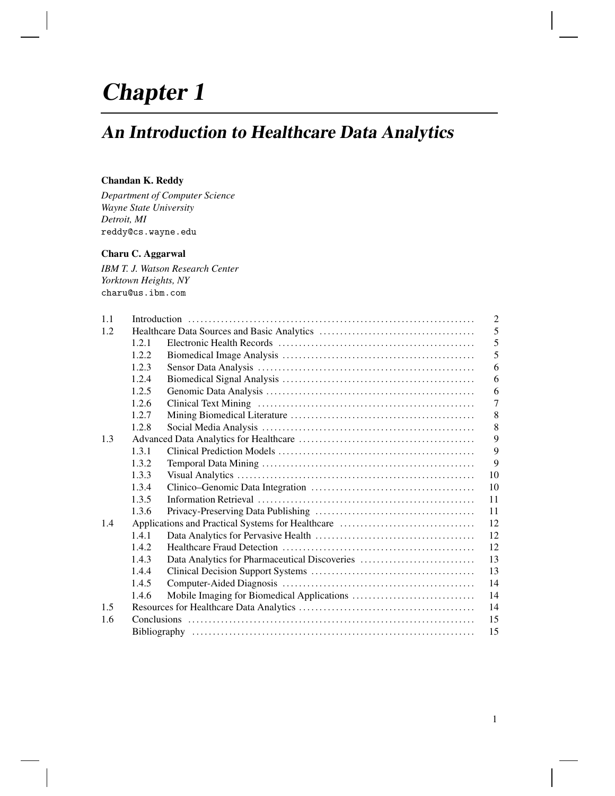## Chapter <sup>1</sup>

### An Introduction to Healthcare Data Analytics

#### Chandan K. Reddy

*Department of Computer Science Wayne State University Detroit, MI* reddy@cs.wayne.edu

#### Charu C. Aggarwal

*IBM T. J. Watson Research Center Yorktown Heights, NY* charu@us.ibm.com

| 1.1 |        |                                               | $\overline{2}$ |  |  |
|-----|--------|-----------------------------------------------|----------------|--|--|
| 1.2 |        |                                               | 5              |  |  |
|     | 1.2.1  |                                               | 5              |  |  |
|     | 1.2.2. |                                               | 5              |  |  |
|     | 1.2.3  |                                               | 6              |  |  |
|     | 1.2.4  |                                               | 6              |  |  |
|     | 1.2.5  |                                               | 6              |  |  |
|     | 1.2.6  |                                               | $\overline{7}$ |  |  |
|     | 1.2.7  |                                               | 8              |  |  |
|     | 1.2.8  |                                               | 8              |  |  |
| 1.3 |        |                                               |                |  |  |
|     | 1.3.1  |                                               | 9              |  |  |
|     | 1.3.2  |                                               | 9              |  |  |
|     | 1.3.3  |                                               | 10             |  |  |
|     | 1.3.4  |                                               | 10             |  |  |
|     | 1.3.5  |                                               | 11             |  |  |
|     | 1.3.6  |                                               | 11             |  |  |
| 1.4 |        |                                               |                |  |  |
|     | 1.4.1  |                                               | 12             |  |  |
|     | 1.4.2  |                                               | 12             |  |  |
|     | 1.4.3  | Data Analytics for Pharmaceutical Discoveries | 13             |  |  |
|     | 1.4.4  |                                               | 13             |  |  |
|     | 1.4.5  |                                               | 14             |  |  |
|     | 1.4.6  |                                               | 14             |  |  |
| 1.5 |        |                                               | 14             |  |  |
| 1.6 |        |                                               |                |  |  |
|     |        |                                               | 15             |  |  |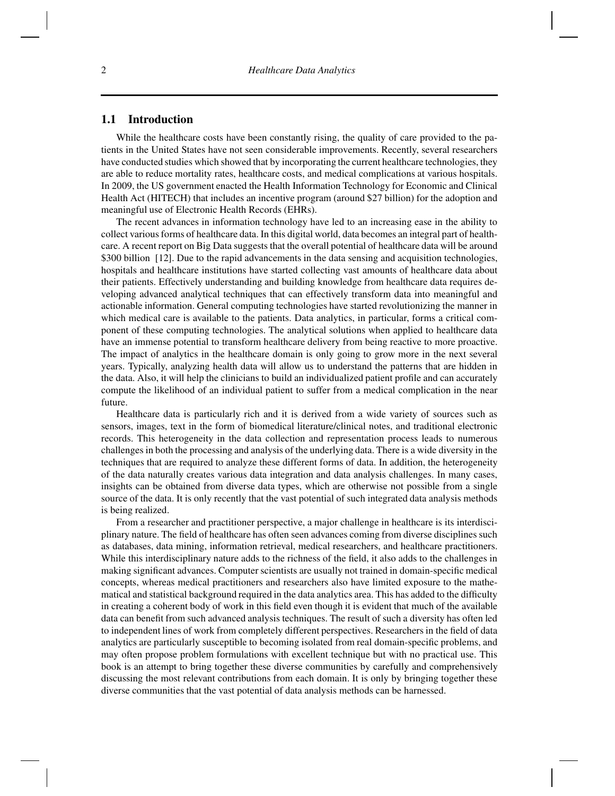#### 1.1 Introduction

While the healthcare costs have been constantly rising, the quality of care provided to the patients in the United States have not seen considerable improvements. Recently, several researchers have conducted studies which showed that by incorporating the current healthcare technologies, they are able to reduce mortality rates, healthcare costs, and medical complications at various hospitals. In 2009, the US government enacted the Health Information Technology for Economic and Clinical Health Act (HITECH) that includes an incentive program (around \$27 billion) for the adoption and meaningful use of Electronic Health Records (EHRs).

The recent advances in information technology have led to an increasing ease in the ability to collect various forms of healthcare data. In this digital world, data becomes an integral part of healthcare. A recent report on Big Data suggests that the overall potential of healthcare data will be around \$300 billion [12]. Due to the rapid advancements in the data sensing and acquisition technologies, hospitals and healthcare institutions have started collecting vast amounts of healthcare data about their patients. Effectively understanding and building knowledge from healthcare data requires developing advanced analytical techniques that can effectively transform data into meaningful and actionable information. General computing technologies have started revolutionizing the manner in which medical care is available to the patients. Data analytics, in particular, forms a critical component of these computing technologies. The analytical solutions when applied to healthcare data have an immense potential to transform healthcare delivery from being reactive to more proactive. The impact of analytics in the healthcare domain is only going to grow more in the next several years. Typically, analyzing health data will allow us to understand the patterns that are hidden in the data. Also, it will help the clinicians to build an individualized patient profile and can accurately compute the likelihood of an individual patient to suffer from a medical complication in the near future.

Healthcare data is particularly rich and it is derived from a wide variety of sources such as sensors, images, text in the form of biomedical literature/clinical notes, and traditional electronic records. This heterogeneity in the data collection and representation process leads to numerous challenges in both the processing and analysis of the underlying data. There is a wide diversity in the techniques that are required to analyze these different forms of data. In addition, the heterogeneity of the data naturally creates various data integration and data analysis challenges. In many cases, insights can be obtained from diverse data types, which are otherwise not possible from a single source of the data. It is only recently that the vast potential of such integrated data analysis methods is being realized.

From a researcher and practitioner perspective, a major challenge in healthcare is its interdisciplinary nature. The field of healthcare has often seen advances coming from diverse disciplines such as databases, data mining, information retrieval, medical researchers, and healthcare practitioners. While this interdisciplinary nature adds to the richness of the field, it also adds to the challenges in making significant advances. Computer scientists are usually not trained in domain-specific medical concepts, whereas medical practitioners and researchers also have limited exposure to the mathematical and statistical background required in the data analytics area. This has added to the difficulty in creating a coherent body of work in this field even though it is evident that much of the available data can benefit from such advanced analysis techniques. The result of such a diversity has often led to independent lines of work from completely different perspectives. Researchers in the field of data analytics are particularly susceptible to becoming isolated from real domain-specific problems, and may often propose problem formulations with excellent technique but with no practical use. This book is an attempt to bring together these diverse communities by carefully and comprehensively discussing the most relevant contributions from each domain. It is only by bringing together these diverse communities that the vast potential of data analysis methods can be harnessed.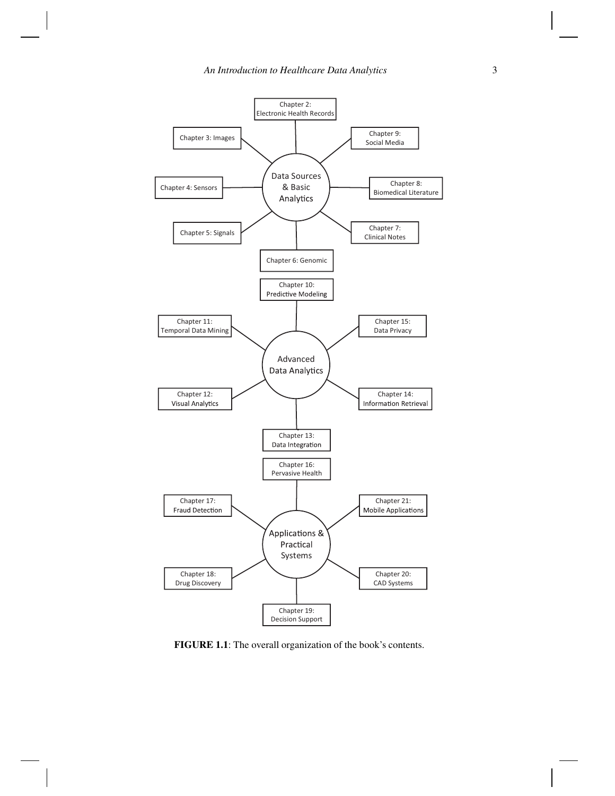

FIGURE 1.1: The overall organization of the book's contents.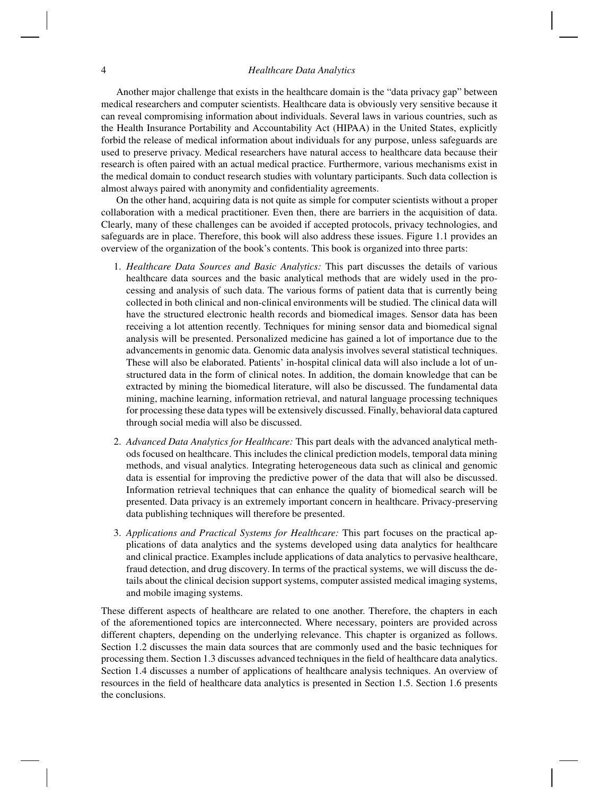#### 4 *Healthcare Data Analytics*

Another major challenge that exists in the healthcare domain is the "data privacy gap" between medical researchers and computer scientists. Healthcare data is obviously very sensitive because it can reveal compromising information about individuals. Several laws in various countries, such as the Health Insurance Portability and Accountability Act (HIPAA) in the United States, explicitly forbid the release of medical information about individuals for any purpose, unless safeguards are used to preserve privacy. Medical researchers have natural access to healthcare data because their research is often paired with an actual medical practice. Furthermore, various mechanisms exist in the medical domain to conduct research studies with voluntary participants. Such data collection is almost always paired with anonymity and confidentiality agreements.

On the other hand, acquiring data is not quite as simple for computer scientists without a proper collaboration with a medical practitioner. Even then, there are barriers in the acquisition of data. Clearly, many of these challenges can be avoided if accepted protocols, privacy technologies, and safeguards are in place. Therefore, this book will also address these issues. Figure 1.1 provides an overview of the organization of the book's contents. This book is organized into three parts:

- 1. *Healthcare Data Sources and Basic Analytics:* This part discusses the details of various healthcare data sources and the basic analytical methods that are widely used in the processing and analysis of such data. The various forms of patient data that is currently being collected in both clinical and non-clinical environments will be studied. The clinical data will have the structured electronic health records and biomedical images. Sensor data has been receiving a lot attention recently. Techniques for mining sensor data and biomedical signal analysis will be presented. Personalized medicine has gained a lot of importance due to the advancements in genomic data. Genomic data analysis involves several statistical techniques. These will also be elaborated. Patients' in-hospital clinical data will also include a lot of unstructured data in the form of clinical notes. In addition, the domain knowledge that can be extracted by mining the biomedical literature, will also be discussed. The fundamental data mining, machine learning, information retrieval, and natural language processing techniques for processing these data types will be extensively discussed. Finally, behavioral data captured through social media will also be discussed.
- 2. *Advanced Data Analytics for Healthcare:* This part deals with the advanced analytical methods focused on healthcare. This includes the clinical prediction models, temporal data mining methods, and visual analytics. Integrating heterogeneous data such as clinical and genomic data is essential for improving the predictive power of the data that will also be discussed. Information retrieval techniques that can enhance the quality of biomedical search will be presented. Data privacy is an extremely important concern in healthcare. Privacy-preserving data publishing techniques will therefore be presented.
- 3. *Applications and Practical Systems for Healthcare:* This part focuses on the practical applications of data analytics and the systems developed using data analytics for healthcare and clinical practice. Examples include applications of data analytics to pervasive healthcare, fraud detection, and drug discovery. In terms of the practical systems, we will discuss the details about the clinical decision support systems, computer assisted medical imaging systems, and mobile imaging systems.

These different aspects of healthcare are related to one another. Therefore, the chapters in each of the aforementioned topics are interconnected. Where necessary, pointers are provided across different chapters, depending on the underlying relevance. This chapter is organized as follows. Section 1.2 discusses the main data sources that are commonly used and the basic techniques for processing them. Section 1.3 discusses advanced techniques in the field of healthcare data analytics. Section 1.4 discusses a number of applications of healthcare analysis techniques. An overview of resources in the field of healthcare data analytics is presented in Section 1.5. Section 1.6 presents the conclusions.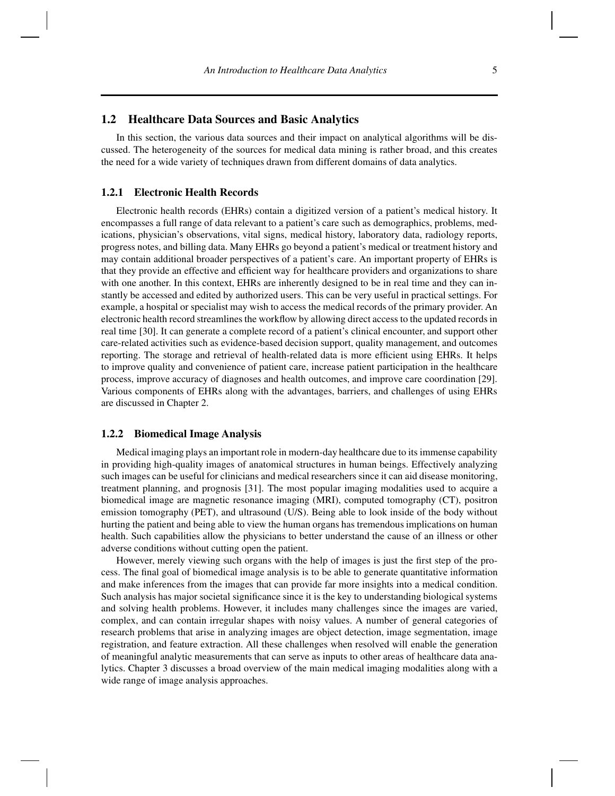#### 1.2 Healthcare Data Sources and Basic Analytics

In this section, the various data sources and their impact on analytical algorithms will be discussed. The heterogeneity of the sources for medical data mining is rather broad, and this creates the need for a wide variety of techniques drawn from different domains of data analytics.

#### 1.2.1 Electronic Health Records

Electronic health records (EHRs) contain a digitized version of a patient's medical history. It encompasses a full range of data relevant to a patient's care such as demographics, problems, medications, physician's observations, vital signs, medical history, laboratory data, radiology reports, progress notes, and billing data. Many EHRs go beyond a patient's medical or treatment history and may contain additional broader perspectives of a patient's care. An important property of EHRs is that they provide an effective and efficient way for healthcare providers and organizations to share with one another. In this context, EHRs are inherently designed to be in real time and they can instantly be accessed and edited by authorized users. This can be very useful in practical settings. For example, a hospital or specialist may wish to access the medical records of the primary provider. An electronic health record streamlines the workflow by allowing direct access to the updated records in real time [30]. It can generate a complete record of a patient's clinical encounter, and support other care-related activities such as evidence-based decision support, quality management, and outcomes reporting. The storage and retrieval of health-related data is more efficient using EHRs. It helps to improve quality and convenience of patient care, increase patient participation in the healthcare process, improve accuracy of diagnoses and health outcomes, and improve care coordination [29]. Various components of EHRs along with the advantages, barriers, and challenges of using EHRs are discussed in Chapter 2.

#### 1.2.2 Biomedical Image Analysis

Medical imaging plays an important role in modern-day healthcare due to its immense capability in providing high-quality images of anatomical structures in human beings. Effectively analyzing such images can be useful for clinicians and medical researchers since it can aid disease monitoring, treatment planning, and prognosis [31]. The most popular imaging modalities used to acquire a biomedical image are magnetic resonance imaging (MRI), computed tomography (CT), positron emission tomography (PET), and ultrasound (U/S). Being able to look inside of the body without hurting the patient and being able to view the human organs has tremendous implications on human health. Such capabilities allow the physicians to better understand the cause of an illness or other adverse conditions without cutting open the patient.

However, merely viewing such organs with the help of images is just the first step of the process. The final goal of biomedical image analysis is to be able to generate quantitative information and make inferences from the images that can provide far more insights into a medical condition. Such analysis has major societal significance since it is the key to understanding biological systems and solving health problems. However, it includes many challenges since the images are varied, complex, and can contain irregular shapes with noisy values. A number of general categories of research problems that arise in analyzing images are object detection, image segmentation, image registration, and feature extraction. All these challenges when resolved will enable the generation of meaningful analytic measurements that can serve as inputs to other areas of healthcare data analytics. Chapter 3 discusses a broad overview of the main medical imaging modalities along with a wide range of image analysis approaches.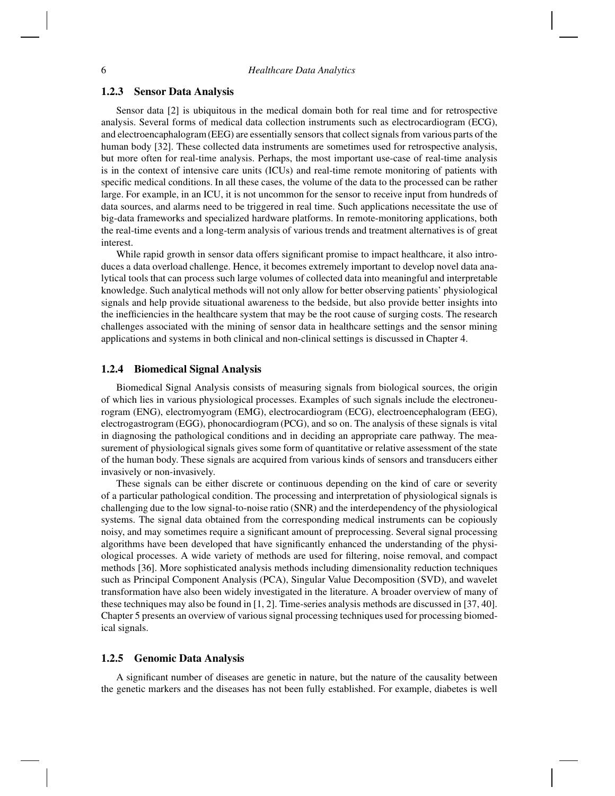#### 1.2.3 Sensor Data Analysis

Sensor data [2] is ubiquitous in the medical domain both for real time and for retrospective analysis. Several forms of medical data collection instruments such as electrocardiogram (ECG), and electroencaphalogram (EEG) are essentially sensors that collect signals from various parts of the human body [32]. These collected data instruments are sometimes used for retrospective analysis, but more often for real-time analysis. Perhaps, the most important use-case of real-time analysis is in the context of intensive care units (ICUs) and real-time remote monitoring of patients with specific medical conditions. In all these cases, the volume of the data to the processed can be rather large. For example, in an ICU, it is not uncommon for the sensor to receive input from hundreds of data sources, and alarms need to be triggered in real time. Such applications necessitate the use of big-data frameworks and specialized hardware platforms. In remote-monitoring applications, both the real-time events and a long-term analysis of various trends and treatment alternatives is of great interest.

While rapid growth in sensor data offers significant promise to impact healthcare, it also introduces a data overload challenge. Hence, it becomes extremely important to develop novel data analytical tools that can process such large volumes of collected data into meaningful and interpretable knowledge. Such analytical methods will not only allow for better observing patients' physiological signals and help provide situational awareness to the bedside, but also provide better insights into the inefficiencies in the healthcare system that may be the root cause of surging costs. The research challenges associated with the mining of sensor data in healthcare settings and the sensor mining applications and systems in both clinical and non-clinical settings is discussed in Chapter 4.

#### 1.2.4 Biomedical Signal Analysis

Biomedical Signal Analysis consists of measuring signals from biological sources, the origin of which lies in various physiological processes. Examples of such signals include the electroneurogram (ENG), electromyogram (EMG), electrocardiogram (ECG), electroencephalogram (EEG), electrogastrogram (EGG), phonocardiogram (PCG), and so on. The analysis of these signals is vital in diagnosing the pathological conditions and in deciding an appropriate care pathway. The measurement of physiological signals gives some form of quantitative or relative assessment of the state of the human body. These signals are acquired from various kinds of sensors and transducers either invasively or non-invasively.

These signals can be either discrete or continuous depending on the kind of care or severity of a particular pathological condition. The processing and interpretation of physiological signals is challenging due to the low signal-to-noise ratio (SNR) and the interdependency of the physiological systems. The signal data obtained from the corresponding medical instruments can be copiously noisy, and may sometimes require a significant amount of preprocessing. Several signal processing algorithms have been developed that have significantly enhanced the understanding of the physiological processes. A wide variety of methods are used for filtering, noise removal, and compact methods [36]. More sophisticated analysis methods including dimensionality reduction techniques such as Principal Component Analysis (PCA), Singular Value Decomposition (SVD), and wavelet transformation have also been widely investigated in the literature. A broader overview of many of these techniques may also be found in [1, 2]. Time-series analysis methods are discussed in [37, 40]. Chapter 5 presents an overview of various signal processing techniques used for processing biomedical signals.

#### 1.2.5 Genomic Data Analysis

A significant number of diseases are genetic in nature, but the nature of the causality between the genetic markers and the diseases has not been fully established. For example, diabetes is well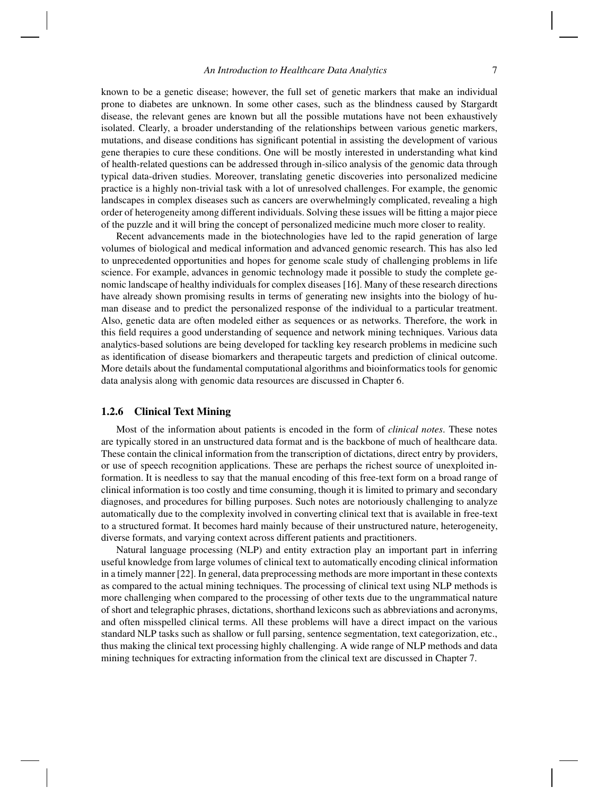#### *An Introduction to Healthcare Data Analytics* 7

known to be a genetic disease; however, the full set of genetic markers that make an individual prone to diabetes are unknown. In some other cases, such as the blindness caused by Stargardt disease, the relevant genes are known but all the possible mutations have not been exhaustively isolated. Clearly, a broader understanding of the relationships between various genetic markers, mutations, and disease conditions has significant potential in assisting the development of various gene therapies to cure these conditions. One will be mostly interested in understanding what kind of health-related questions can be addressed through in-silico analysis of the genomic data through typical data-driven studies. Moreover, translating genetic discoveries into personalized medicine practice is a highly non-trivial task with a lot of unresolved challenges. For example, the genomic landscapes in complex diseases such as cancers are overwhelmingly complicated, revealing a high order of heterogeneity among different individuals. Solving these issues will be fitting a major piece of the puzzle and it will bring the concept of personalized medicine much more closer to reality.

Recent advancements made in the biotechnologies have led to the rapid generation of large volumes of biological and medical information and advanced genomic research. This has also led to unprecedented opportunities and hopes for genome scale study of challenging problems in life science. For example, advances in genomic technology made it possible to study the complete genomic landscape of healthy individuals for complex diseases [16]. Many of these research directions have already shown promising results in terms of generating new insights into the biology of human disease and to predict the personalized response of the individual to a particular treatment. Also, genetic data are often modeled either as sequences or as networks. Therefore, the work in this field requires a good understanding of sequence and network mining techniques. Various data analytics-based solutions are being developed for tackling key research problems in medicine such as identification of disease biomarkers and therapeutic targets and prediction of clinical outcome. More details about the fundamental computational algorithms and bioinformatics tools for genomic data analysis along with genomic data resources are discussed in Chapter 6.

#### 1.2.6 Clinical Text Mining

Most of the information about patients is encoded in the form of *clinical notes*. These notes are typically stored in an unstructured data format and is the backbone of much of healthcare data. These contain the clinical information from the transcription of dictations, direct entry by providers, or use of speech recognition applications. These are perhaps the richest source of unexploited information. It is needless to say that the manual encoding of this free-text form on a broad range of clinical information is too costly and time consuming, though it is limited to primary and secondary diagnoses, and procedures for billing purposes. Such notes are notoriously challenging to analyze automatically due to the complexity involved in converting clinical text that is available in free-text to a structured format. It becomes hard mainly because of their unstructured nature, heterogeneity, diverse formats, and varying context across different patients and practitioners.

Natural language processing (NLP) and entity extraction play an important part in inferring useful knowledge from large volumes of clinical text to automatically encoding clinical information in a timely manner [22]. In general, data preprocessing methods are more important in these contexts as compared to the actual mining techniques. The processing of clinical text using NLP methods is more challenging when compared to the processing of other texts due to the ungrammatical nature of short and telegraphic phrases, dictations, shorthand lexicons such as abbreviations and acronyms, and often misspelled clinical terms. All these problems will have a direct impact on the various standard NLP tasks such as shallow or full parsing, sentence segmentation, text categorization, etc., thus making the clinical text processing highly challenging. A wide range of NLP methods and data mining techniques for extracting information from the clinical text are discussed in Chapter 7.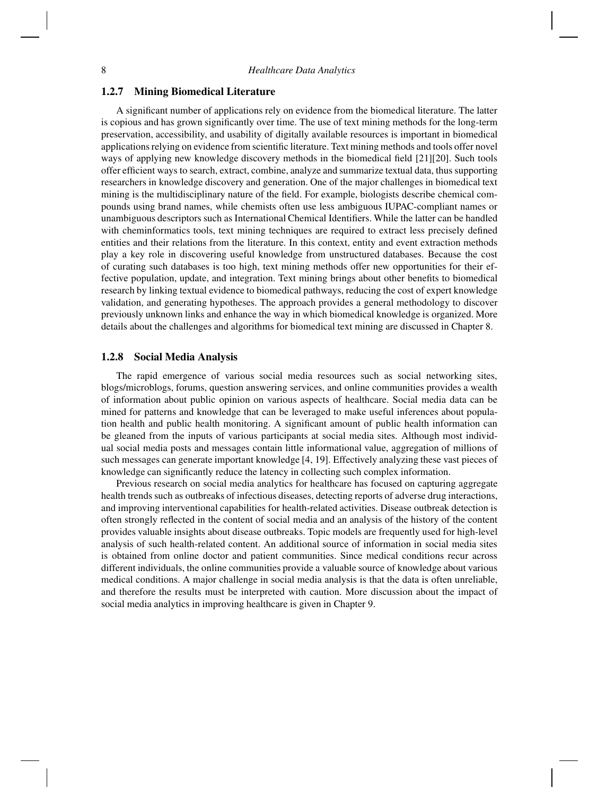#### 1.2.7 Mining Biomedical Literature

A significant number of applications rely on evidence from the biomedical literature. The latter is copious and has grown significantly over time. The use of text mining methods for the long-term preservation, accessibility, and usability of digitally available resources is important in biomedical applications relying on evidence from scientific literature. Text mining methods and tools offer novel ways of applying new knowledge discovery methods in the biomedical field [21][20]. Such tools offer efficient ways to search, extract, combine, analyze and summarize textual data, thus supporting researchers in knowledge discovery and generation. One of the major challenges in biomedical text mining is the multidisciplinary nature of the field. For example, biologists describe chemical compounds using brand names, while chemists often use less ambiguous IUPAC-compliant names or unambiguous descriptors such as International Chemical Identifiers. While the latter can be handled with cheminformatics tools, text mining techniques are required to extract less precisely defined entities and their relations from the literature. In this context, entity and event extraction methods play a key role in discovering useful knowledge from unstructured databases. Because the cost of curating such databases is too high, text mining methods offer new opportunities for their effective population, update, and integration. Text mining brings about other benefits to biomedical research by linking textual evidence to biomedical pathways, reducing the cost of expert knowledge validation, and generating hypotheses. The approach provides a general methodology to discover previously unknown links and enhance the way in which biomedical knowledge is organized. More details about the challenges and algorithms for biomedical text mining are discussed in Chapter 8.

#### 1.2.8 Social Media Analysis

The rapid emergence of various social media resources such as social networking sites, blogs/microblogs, forums, question answering services, and online communities provides a wealth of information about public opinion on various aspects of healthcare. Social media data can be mined for patterns and knowledge that can be leveraged to make useful inferences about population health and public health monitoring. A significant amount of public health information can be gleaned from the inputs of various participants at social media sites. Although most individual social media posts and messages contain little informational value, aggregation of millions of such messages can generate important knowledge [4, 19]. Effectively analyzing these vast pieces of knowledge can significantly reduce the latency in collecting such complex information.

Previous research on social media analytics for healthcare has focused on capturing aggregate health trends such as outbreaks of infectious diseases, detecting reports of adverse drug interactions, and improving interventional capabilities for health-related activities. Disease outbreak detection is often strongly reflected in the content of social media and an analysis of the history of the content provides valuable insights about disease outbreaks. Topic models are frequently used for high-level analysis of such health-related content. An additional source of information in social media sites is obtained from online doctor and patient communities. Since medical conditions recur across different individuals, the online communities provide a valuable source of knowledge about various medical conditions. A major challenge in social media analysis is that the data is often unreliable, and therefore the results must be interpreted with caution. More discussion about the impact of social media analytics in improving healthcare is given in Chapter 9.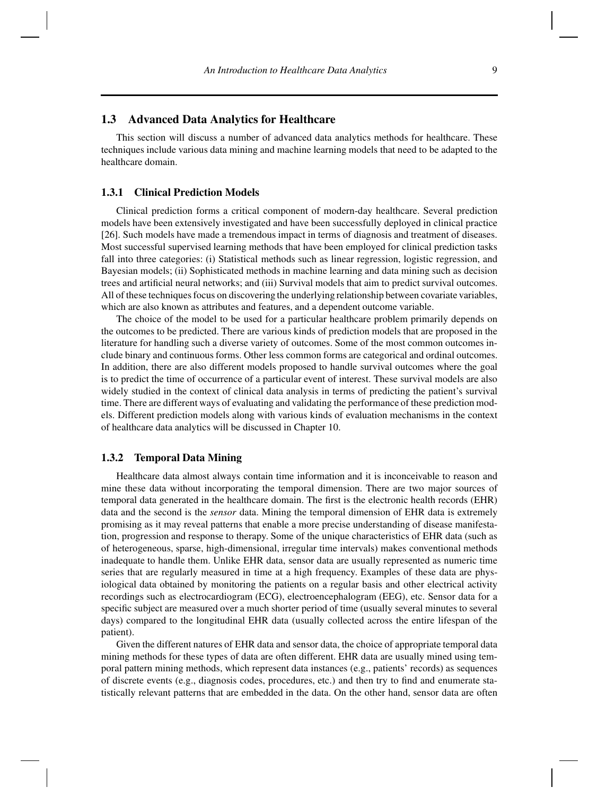#### 1.3 Advanced Data Analytics for Healthcare

This section will discuss a number of advanced data analytics methods for healthcare. These techniques include various data mining and machine learning models that need to be adapted to the healthcare domain.

#### 1.3.1 Clinical Prediction Models

Clinical prediction forms a critical component of modern-day healthcare. Several prediction models have been extensively investigated and have been successfully deployed in clinical practice [26]. Such models have made a tremendous impact in terms of diagnosis and treatment of diseases. Most successful supervised learning methods that have been employed for clinical prediction tasks fall into three categories: (i) Statistical methods such as linear regression, logistic regression, and Bayesian models; (ii) Sophisticated methods in machine learning and data mining such as decision trees and artificial neural networks; and (iii) Survival models that aim to predict survival outcomes. All of these techniques focus on discovering the underlying relationship between covariate variables, which are also known as attributes and features, and a dependent outcome variable.

The choice of the model to be used for a particular healthcare problem primarily depends on the outcomes to be predicted. There are various kinds of prediction models that are proposed in the literature for handling such a diverse variety of outcomes. Some of the most common outcomes include binary and continuous forms. Other less common forms are categorical and ordinal outcomes. In addition, there are also different models proposed to handle survival outcomes where the goal is to predict the time of occurrence of a particular event of interest. These survival models are also widely studied in the context of clinical data analysis in terms of predicting the patient's survival time. There are different ways of evaluating and validating the performance of these prediction models. Different prediction models along with various kinds of evaluation mechanisms in the context of healthcare data analytics will be discussed in Chapter 10.

#### 1.3.2 Temporal Data Mining

Healthcare data almost always contain time information and it is inconceivable to reason and mine these data without incorporating the temporal dimension. There are two major sources of temporal data generated in the healthcare domain. The first is the electronic health records (EHR) data and the second is the *sensor* data. Mining the temporal dimension of EHR data is extremely promising as it may reveal patterns that enable a more precise understanding of disease manifestation, progression and response to therapy. Some of the unique characteristics of EHR data (such as of heterogeneous, sparse, high-dimensional, irregular time intervals) makes conventional methods inadequate to handle them. Unlike EHR data, sensor data are usually represented as numeric time series that are regularly measured in time at a high frequency. Examples of these data are physiological data obtained by monitoring the patients on a regular basis and other electrical activity recordings such as electrocardiogram (ECG), electroencephalogram (EEG), etc. Sensor data for a specific subject are measured over a much shorter period of time (usually several minutes to several days) compared to the longitudinal EHR data (usually collected across the entire lifespan of the patient).

Given the different natures of EHR data and sensor data, the choice of appropriate temporal data mining methods for these types of data are often different. EHR data are usually mined using temporal pattern mining methods, which represent data instances (e.g., patients' records) as sequences of discrete events (e.g., diagnosis codes, procedures, etc.) and then try to find and enumerate statistically relevant patterns that are embedded in the data. On the other hand, sensor data are often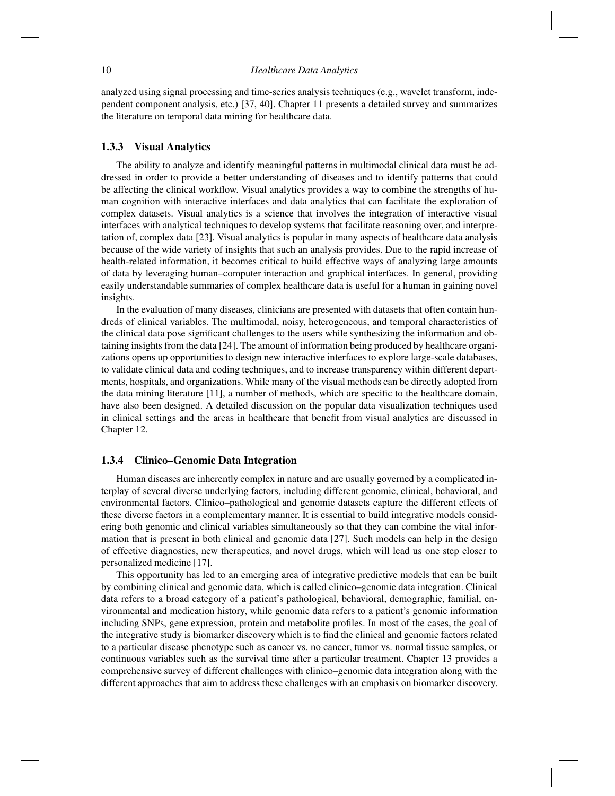analyzed using signal processing and time-series analysis techniques (e.g., wavelet transform, independent component analysis, etc.) [37, 40]. Chapter 11 presents a detailed survey and summarizes the literature on temporal data mining for healthcare data.

#### 1.3.3 Visual Analytics

The ability to analyze and identify meaningful patterns in multimodal clinical data must be addressed in order to provide a better understanding of diseases and to identify patterns that could be affecting the clinical workflow. Visual analytics provides a way to combine the strengths of human cognition with interactive interfaces and data analytics that can facilitate the exploration of complex datasets. Visual analytics is a science that involves the integration of interactive visual interfaces with analytical techniques to develop systems that facilitate reasoning over, and interpretation of, complex data [23]. Visual analytics is popular in many aspects of healthcare data analysis because of the wide variety of insights that such an analysis provides. Due to the rapid increase of health-related information, it becomes critical to build effective ways of analyzing large amounts of data by leveraging human–computer interaction and graphical interfaces. In general, providing easily understandable summaries of complex healthcare data is useful for a human in gaining novel insights.

In the evaluation of many diseases, clinicians are presented with datasets that often contain hundreds of clinical variables. The multimodal, noisy, heterogeneous, and temporal characteristics of the clinical data pose significant challenges to the users while synthesizing the information and obtaining insights from the data [24]. The amount of information being produced by healthcare organizations opens up opportunities to design new interactive interfaces to explore large-scale databases, to validate clinical data and coding techniques, and to increase transparency within different departments, hospitals, and organizations. While many of the visual methods can be directly adopted from the data mining literature [11], a number of methods, which are specific to the healthcare domain, have also been designed. A detailed discussion on the popular data visualization techniques used in clinical settings and the areas in healthcare that benefit from visual analytics are discussed in Chapter 12.

#### 1.3.4 Clinico–Genomic Data Integration

Human diseases are inherently complex in nature and are usually governed by a complicated interplay of several diverse underlying factors, including different genomic, clinical, behavioral, and environmental factors. Clinico–pathological and genomic datasets capture the different effects of these diverse factors in a complementary manner. It is essential to build integrative models considering both genomic and clinical variables simultaneously so that they can combine the vital information that is present in both clinical and genomic data [27]. Such models can help in the design of effective diagnostics, new therapeutics, and novel drugs, which will lead us one step closer to personalized medicine [17].

This opportunity has led to an emerging area of integrative predictive models that can be built by combining clinical and genomic data, which is called clinico–genomic data integration. Clinical data refers to a broad category of a patient's pathological, behavioral, demographic, familial, environmental and medication history, while genomic data refers to a patient's genomic information including SNPs, gene expression, protein and metabolite profiles. In most of the cases, the goal of the integrative study is biomarker discovery which is to find the clinical and genomic factors related to a particular disease phenotype such as cancer vs. no cancer, tumor vs. normal tissue samples, or continuous variables such as the survival time after a particular treatment. Chapter 13 provides a comprehensive survey of different challenges with clinico–genomic data integration along with the different approaches that aim to address these challenges with an emphasis on biomarker discovery.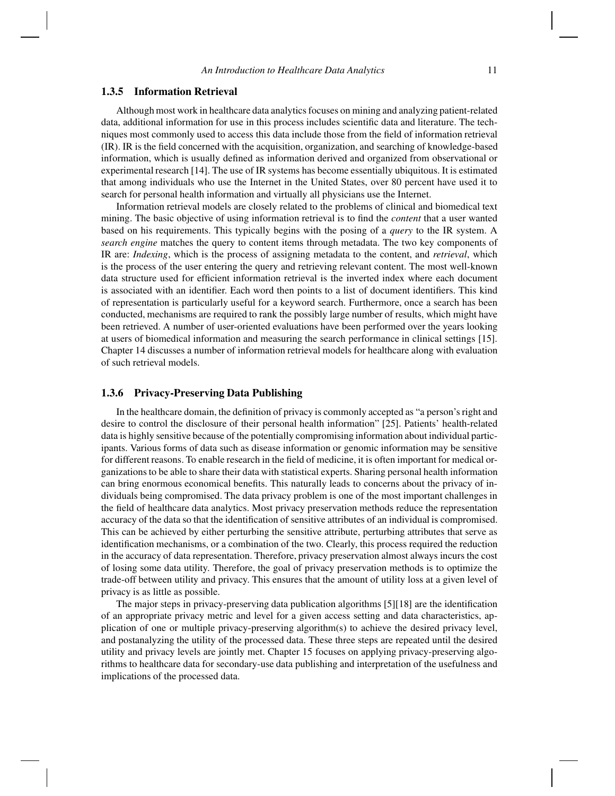#### 1.3.5 Information Retrieval

Although most work in healthcare data analytics focuses on mining and analyzing patient-related data, additional information for use in this process includes scientific data and literature. The techniques most commonly used to access this data include those from the field of information retrieval (IR). IR is the field concerned with the acquisition, organization, and searching of knowledge-based information, which is usually defined as information derived and organized from observational or experimental research [14]. The use of IR systems has become essentially ubiquitous. It is estimated that among individuals who use the Internet in the United States, over 80 percent have used it to search for personal health information and virtually all physicians use the Internet.

Information retrieval models are closely related to the problems of clinical and biomedical text mining. The basic objective of using information retrieval is to find the *content* that a user wanted based on his requirements. This typically begins with the posing of a *query* to the IR system. A *search engine* matches the query to content items through metadata. The two key components of IR are: *Indexing*, which is the process of assigning metadata to the content, and *retrieval*, which is the process of the user entering the query and retrieving relevant content. The most well-known data structure used for efficient information retrieval is the inverted index where each document is associated with an identifier. Each word then points to a list of document identifiers. This kind of representation is particularly useful for a keyword search. Furthermore, once a search has been conducted, mechanisms are required to rank the possibly large number of results, which might have been retrieved. A number of user-oriented evaluations have been performed over the years looking at users of biomedical information and measuring the search performance in clinical settings [15]. Chapter 14 discusses a number of information retrieval models for healthcare along with evaluation of such retrieval models.

#### 1.3.6 Privacy-Preserving Data Publishing

In the healthcare domain, the definition of privacy is commonly accepted as "a person's right and desire to control the disclosure of their personal health information" [25]. Patients' health-related data is highly sensitive because of the potentially compromising information about individual participants. Various forms of data such as disease information or genomic information may be sensitive for different reasons. To enable research in the field of medicine, it is often important for medical organizations to be able to share their data with statistical experts. Sharing personal health information can bring enormous economical benefits. This naturally leads to concerns about the privacy of individuals being compromised. The data privacy problem is one of the most important challenges in the field of healthcare data analytics. Most privacy preservation methods reduce the representation accuracy of the data so that the identification of sensitive attributes of an individual is compromised. This can be achieved by either perturbing the sensitive attribute, perturbing attributes that serve as identification mechanisms, or a combination of the two. Clearly, this process required the reduction in the accuracy of data representation. Therefore, privacy preservation almost always incurs the cost of losing some data utility. Therefore, the goal of privacy preservation methods is to optimize the trade-off between utility and privacy. This ensures that the amount of utility loss at a given level of privacy is as little as possible.

The major steps in privacy-preserving data publication algorithms [5][18] are the identification of an appropriate privacy metric and level for a given access setting and data characteristics, application of one or multiple privacy-preserving algorithm(s) to achieve the desired privacy level, and postanalyzing the utility of the processed data. These three steps are repeated until the desired utility and privacy levels are jointly met. Chapter 15 focuses on applying privacy-preserving algorithms to healthcare data for secondary-use data publishing and interpretation of the usefulness and implications of the processed data.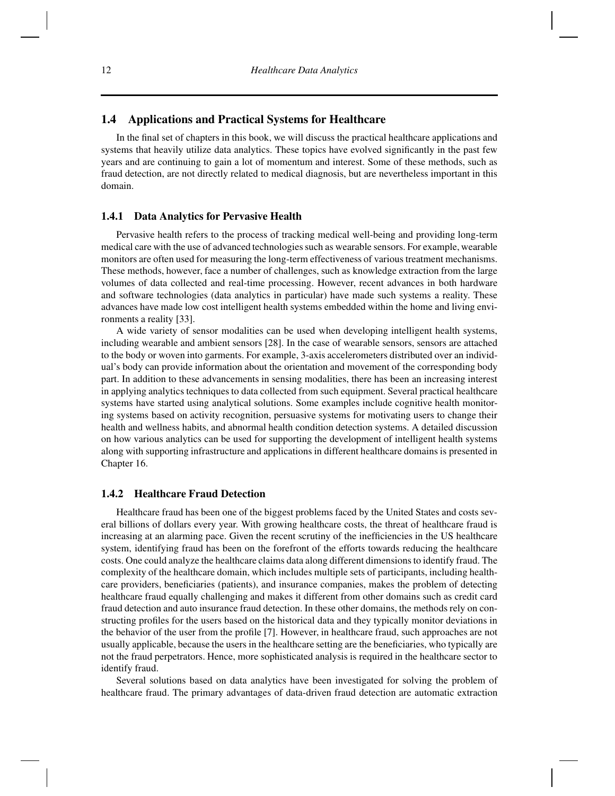#### 1.4 Applications and Practical Systems for Healthcare

In the final set of chapters in this book, we will discuss the practical healthcare applications and systems that heavily utilize data analytics. These topics have evolved significantly in the past few years and are continuing to gain a lot of momentum and interest. Some of these methods, such as fraud detection, are not directly related to medical diagnosis, but are nevertheless important in this domain.

#### 1.4.1 Data Analytics for Pervasive Health

Pervasive health refers to the process of tracking medical well-being and providing long-term medical care with the use of advanced technologies such as wearable sensors. For example, wearable monitors are often used for measuring the long-term effectiveness of various treatment mechanisms. These methods, however, face a number of challenges, such as knowledge extraction from the large volumes of data collected and real-time processing. However, recent advances in both hardware and software technologies (data analytics in particular) have made such systems a reality. These advances have made low cost intelligent health systems embedded within the home and living environments a reality [33].

A wide variety of sensor modalities can be used when developing intelligent health systems, including wearable and ambient sensors [28]. In the case of wearable sensors, sensors are attached to the body or woven into garments. For example, 3-axis accelerometers distributed over an individual's body can provide information about the orientation and movement of the corresponding body part. In addition to these advancements in sensing modalities, there has been an increasing interest in applying analytics techniques to data collected from such equipment. Several practical healthcare systems have started using analytical solutions. Some examples include cognitive health monitoring systems based on activity recognition, persuasive systems for motivating users to change their health and wellness habits, and abnormal health condition detection systems. A detailed discussion on how various analytics can be used for supporting the development of intelligent health systems along with supporting infrastructure and applications in different healthcare domains is presented in Chapter 16.

#### 1.4.2 Healthcare Fraud Detection

Healthcare fraud has been one of the biggest problems faced by the United States and costs several billions of dollars every year. With growing healthcare costs, the threat of healthcare fraud is increasing at an alarming pace. Given the recent scrutiny of the inefficiencies in the US healthcare system, identifying fraud has been on the forefront of the efforts towards reducing the healthcare costs. One could analyze the healthcare claims data along different dimensions to identify fraud. The complexity of the healthcare domain, which includes multiple sets of participants, including healthcare providers, beneficiaries (patients), and insurance companies, makes the problem of detecting healthcare fraud equally challenging and makes it different from other domains such as credit card fraud detection and auto insurance fraud detection. In these other domains, the methods rely on constructing profiles for the users based on the historical data and they typically monitor deviations in the behavior of the user from the profile [7]. However, in healthcare fraud, such approaches are not usually applicable, because the users in the healthcare setting are the beneficiaries, who typically are not the fraud perpetrators. Hence, more sophisticated analysis is required in the healthcare sector to identify fraud.

Several solutions based on data analytics have been investigated for solving the problem of healthcare fraud. The primary advantages of data-driven fraud detection are automatic extraction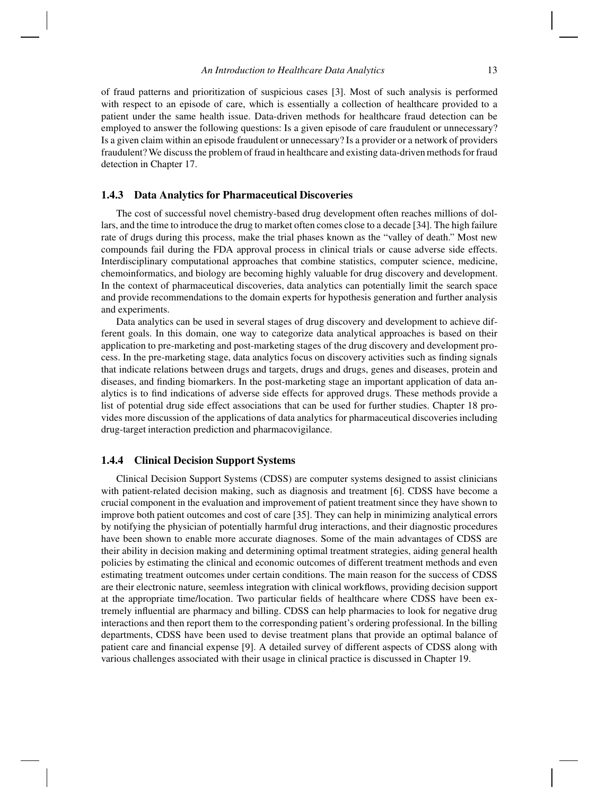of fraud patterns and prioritization of suspicious cases [3]. Most of such analysis is performed with respect to an episode of care, which is essentially a collection of healthcare provided to a patient under the same health issue. Data-driven methods for healthcare fraud detection can be employed to answer the following questions: Is a given episode of care fraudulent or unnecessary? Is a given claim within an episode fraudulent or unnecessary? Is a provider or a network of providers fraudulent? We discuss the problem of fraud in healthcare and existing data-driven methods for fraud detection in Chapter 17.

#### 1.4.3 Data Analytics for Pharmaceutical Discoveries

The cost of successful novel chemistry-based drug development often reaches millions of dollars, and the time to introduce the drug to market often comes close to a decade [34]. The high failure rate of drugs during this process, make the trial phases known as the "valley of death." Most new compounds fail during the FDA approval process in clinical trials or cause adverse side effects. Interdisciplinary computational approaches that combine statistics, computer science, medicine, chemoinformatics, and biology are becoming highly valuable for drug discovery and development. In the context of pharmaceutical discoveries, data analytics can potentially limit the search space and provide recommendations to the domain experts for hypothesis generation and further analysis and experiments.

Data analytics can be used in several stages of drug discovery and development to achieve different goals. In this domain, one way to categorize data analytical approaches is based on their application to pre-marketing and post-marketing stages of the drug discovery and development process. In the pre-marketing stage, data analytics focus on discovery activities such as finding signals that indicate relations between drugs and targets, drugs and drugs, genes and diseases, protein and diseases, and finding biomarkers. In the post-marketing stage an important application of data analytics is to find indications of adverse side effects for approved drugs. These methods provide a list of potential drug side effect associations that can be used for further studies. Chapter 18 provides more discussion of the applications of data analytics for pharmaceutical discoveries including drug-target interaction prediction and pharmacovigilance.

#### 1.4.4 Clinical Decision Support Systems

Clinical Decision Support Systems (CDSS) are computer systems designed to assist clinicians with patient-related decision making, such as diagnosis and treatment [6]. CDSS have become a crucial component in the evaluation and improvement of patient treatment since they have shown to improve both patient outcomes and cost of care [35]. They can help in minimizing analytical errors by notifying the physician of potentially harmful drug interactions, and their diagnostic procedures have been shown to enable more accurate diagnoses. Some of the main advantages of CDSS are their ability in decision making and determining optimal treatment strategies, aiding general health policies by estimating the clinical and economic outcomes of different treatment methods and even estimating treatment outcomes under certain conditions. The main reason for the success of CDSS are their electronic nature, seemless integration with clinical workflows, providing decision support at the appropriate time/location. Two particular fields of healthcare where CDSS have been extremely influential are pharmacy and billing. CDSS can help pharmacies to look for negative drug interactions and then report them to the corresponding patient's ordering professional. In the billing departments, CDSS have been used to devise treatment plans that provide an optimal balance of patient care and financial expense [9]. A detailed survey of different aspects of CDSS along with various challenges associated with their usage in clinical practice is discussed in Chapter 19.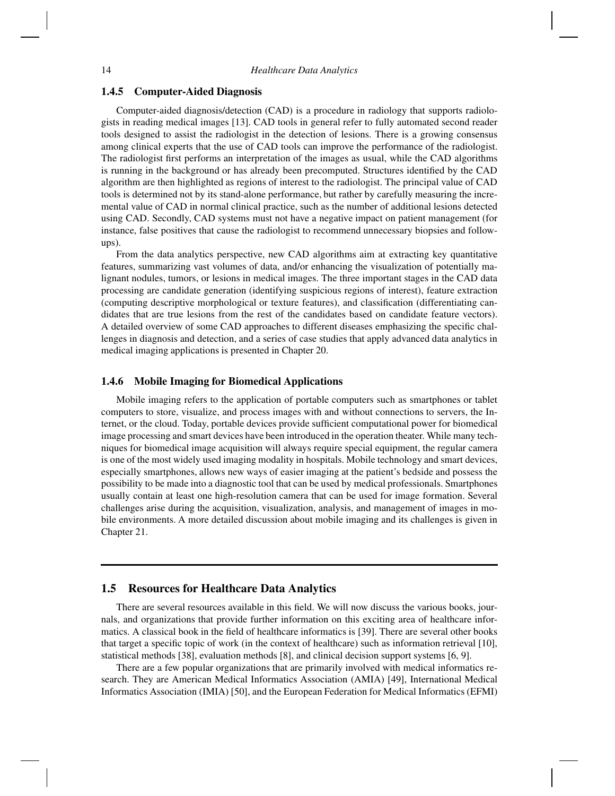#### 1.4.5 Computer-Aided Diagnosis

Computer-aided diagnosis/detection (CAD) is a procedure in radiology that supports radiologists in reading medical images [13]. CAD tools in general refer to fully automated second reader tools designed to assist the radiologist in the detection of lesions. There is a growing consensus among clinical experts that the use of CAD tools can improve the performance of the radiologist. The radiologist first performs an interpretation of the images as usual, while the CAD algorithms is running in the background or has already been precomputed. Structures identified by the CAD algorithm are then highlighted as regions of interest to the radiologist. The principal value of CAD tools is determined not by its stand-alone performance, but rather by carefully measuring the incremental value of CAD in normal clinical practice, such as the number of additional lesions detected using CAD. Secondly, CAD systems must not have a negative impact on patient management (for instance, false positives that cause the radiologist to recommend unnecessary biopsies and followups).

From the data analytics perspective, new CAD algorithms aim at extracting key quantitative features, summarizing vast volumes of data, and/or enhancing the visualization of potentially malignant nodules, tumors, or lesions in medical images. The three important stages in the CAD data processing are candidate generation (identifying suspicious regions of interest), feature extraction (computing descriptive morphological or texture features), and classification (differentiating candidates that are true lesions from the rest of the candidates based on candidate feature vectors). A detailed overview of some CAD approaches to different diseases emphasizing the specific challenges in diagnosis and detection, and a series of case studies that apply advanced data analytics in medical imaging applications is presented in Chapter 20.

#### 1.4.6 Mobile Imaging for Biomedical Applications

Mobile imaging refers to the application of portable computers such as smartphones or tablet computers to store, visualize, and process images with and without connections to servers, the Internet, or the cloud. Today, portable devices provide sufficient computational power for biomedical image processing and smart devices have been introduced in the operation theater. While many techniques for biomedical image acquisition will always require special equipment, the regular camera is one of the most widely used imaging modality in hospitals. Mobile technology and smart devices, especially smartphones, allows new ways of easier imaging at the patient's bedside and possess the possibility to be made into a diagnostic tool that can be used by medical professionals. Smartphones usually contain at least one high-resolution camera that can be used for image formation. Several challenges arise during the acquisition, visualization, analysis, and management of images in mobile environments. A more detailed discussion about mobile imaging and its challenges is given in Chapter 21.

#### 1.5 Resources for Healthcare Data Analytics

There are several resources available in this field. We will now discuss the various books, journals, and organizations that provide further information on this exciting area of healthcare informatics. A classical book in the field of healthcare informatics is [39]. There are several other books that target a specific topic of work (in the context of healthcare) such as information retrieval [10], statistical methods [38], evaluation methods [8], and clinical decision support systems [6, 9].

There are a few popular organizations that are primarily involved with medical informatics research. They are American Medical Informatics Association (AMIA) [49], International Medical Informatics Association (IMIA) [50], and the European Federation for Medical Informatics (EFMI)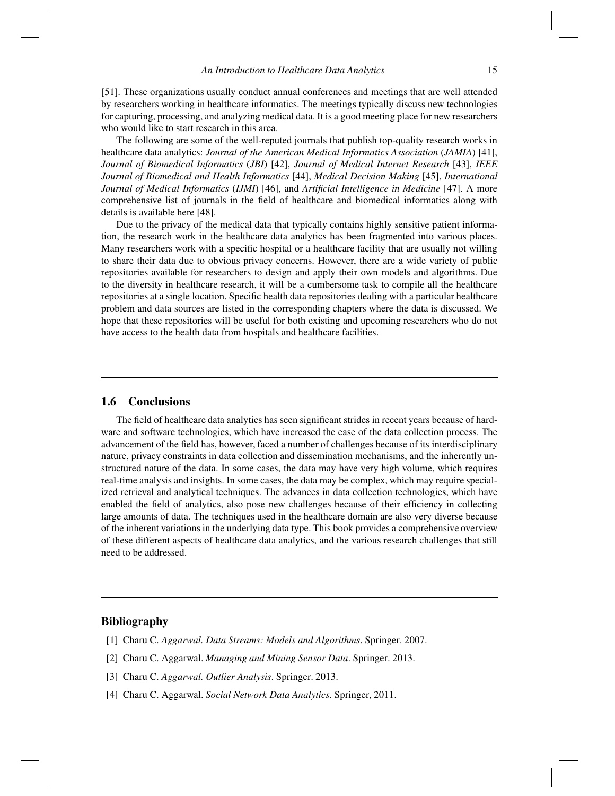[51]. These organizations usually conduct annual conferences and meetings that are well attended by researchers working in healthcare informatics. The meetings typically discuss new technologies for capturing, processing, and analyzing medical data. It is a good meeting place for new researchers who would like to start research in this area.

The following are some of the well-reputed journals that publish top-quality research works in healthcare data analytics: *Journal of the American Medical Informatics Association* (*JAMIA*) [41], *Journal of Biomedical Informatics* (*JBI*) [42], *Journal of Medical Internet Research* [43], *IEEE Journal of Biomedical and Health Informatics* [44], *Medical Decision Making* [45], *International Journal of Medical Informatics* (*IJMI*) [46], and *Artificial Intelligence in Medicine* [47]. A more comprehensive list of journals in the field of healthcare and biomedical informatics along with details is available here [48].

Due to the privacy of the medical data that typically contains highly sensitive patient information, the research work in the healthcare data analytics has been fragmented into various places. Many researchers work with a specific hospital or a healthcare facility that are usually not willing to share their data due to obvious privacy concerns. However, there are a wide variety of public repositories available for researchers to design and apply their own models and algorithms. Due to the diversity in healthcare research, it will be a cumbersome task to compile all the healthcare repositories at a single location. Specific health data repositories dealing with a particular healthcare problem and data sources are listed in the corresponding chapters where the data is discussed. We hope that these repositories will be useful for both existing and upcoming researchers who do not have access to the health data from hospitals and healthcare facilities.

#### 1.6 Conclusions

The field of healthcare data analytics has seen significant strides in recent years because of hardware and software technologies, which have increased the ease of the data collection process. The advancement of the field has, however, faced a number of challenges because of its interdisciplinary nature, privacy constraints in data collection and dissemination mechanisms, and the inherently unstructured nature of the data. In some cases, the data may have very high volume, which requires real-time analysis and insights. In some cases, the data may be complex, which may require specialized retrieval and analytical techniques. The advances in data collection technologies, which have enabled the field of analytics, also pose new challenges because of their efficiency in collecting large amounts of data. The techniques used in the healthcare domain are also very diverse because of the inherent variations in the underlying data type. This book provides a comprehensive overview of these different aspects of healthcare data analytics, and the various research challenges that still need to be addressed.

#### Bibliography

- [1] Charu C. *Aggarwal. Data Streams: Models and Algorithms*. Springer. 2007.
- [2] Charu C. Aggarwal. *Managing and Mining Sensor Data*. Springer. 2013.
- [3] Charu C. *Aggarwal. Outlier Analysis*. Springer. 2013.
- [4] Charu C. Aggarwal. *Social Network Data Analytics*. Springer, 2011.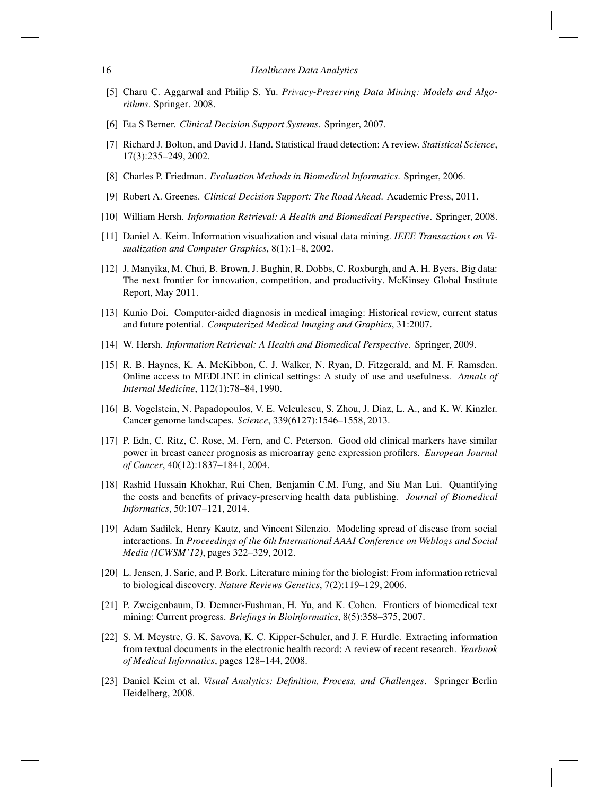#### 16 *Healthcare Data Analytics*

- [5] Charu C. Aggarwal and Philip S. Yu. *Privacy-Preserving Data Mining: Models and Algorithms*. Springer. 2008.
- [6] Eta S Berner. *Clinical Decision Support Systems*. Springer, 2007.
- [7] Richard J. Bolton, and David J. Hand. Statistical fraud detection: A review. *Statistical Science*, 17(3):235–249, 2002.
- [8] Charles P. Friedman. *Evaluation Methods in Biomedical Informatics*. Springer, 2006.
- [9] Robert A. Greenes. *Clinical Decision Support: The Road Ahead*. Academic Press, 2011.
- [10] William Hersh. *Information Retrieval: A Health and Biomedical Perspective*. Springer, 2008.
- [11] Daniel A. Keim. Information visualization and visual data mining. *IEEE Transactions on Visualization and Computer Graphics*, 8(1):1–8, 2002.
- [12] J. Manyika, M. Chui, B. Brown, J. Bughin, R. Dobbs, C. Roxburgh, and A. H. Byers. Big data: The next frontier for innovation, competition, and productivity. McKinsey Global Institute Report, May 2011.
- [13] Kunio Doi. Computer-aided diagnosis in medical imaging: Historical review, current status and future potential. *Computerized Medical Imaging and Graphics*, 31:2007.
- [14] W. Hersh. *Information Retrieval: A Health and Biomedical Perspective.* Springer, 2009.
- [15] R. B. Haynes, K. A. McKibbon, C. J. Walker, N. Ryan, D. Fitzgerald, and M. F. Ramsden. Online access to MEDLINE in clinical settings: A study of use and usefulness. *Annals of Internal Medicine*, 112(1):78–84, 1990.
- [16] B. Vogelstein, N. Papadopoulos, V. E. Velculescu, S. Zhou, J. Diaz, L. A., and K. W. Kinzler. Cancer genome landscapes. *Science*, 339(6127):1546–1558, 2013.
- [17] P. Edn, C. Ritz, C. Rose, M. Fern, and C. Peterson. Good old clinical markers have similar power in breast cancer prognosis as microarray gene expression profilers. *European Journal of Cancer*, 40(12):1837–1841, 2004.
- [18] Rashid Hussain Khokhar, Rui Chen, Benjamin C.M. Fung, and Siu Man Lui. Quantifying the costs and benefits of privacy-preserving health data publishing. *Journal of Biomedical Informatics*, 50:107–121, 2014.
- [19] Adam Sadilek, Henry Kautz, and Vincent Silenzio. Modeling spread of disease from social interactions. In *Proceedings of the 6th International AAAI Conference on Weblogs and Social Media (ICWSM'12)*, pages 322–329, 2012.
- [20] L. Jensen, J. Saric, and P. Bork. Literature mining for the biologist: From information retrieval to biological discovery. *Nature Reviews Genetics*, 7(2):119–129, 2006.
- [21] P. Zweigenbaum, D. Demner-Fushman, H. Yu, and K. Cohen. Frontiers of biomedical text mining: Current progress. *Briefings in Bioinformatics*, 8(5):358–375, 2007.
- [22] S. M. Meystre, G. K. Savova, K. C. Kipper-Schuler, and J. F. Hurdle. Extracting information from textual documents in the electronic health record: A review of recent research. *Yearbook of Medical Informatics*, pages 128–144, 2008.
- [23] Daniel Keim et al. *Visual Analytics: Definition, Process, and Challenges*. Springer Berlin Heidelberg, 2008.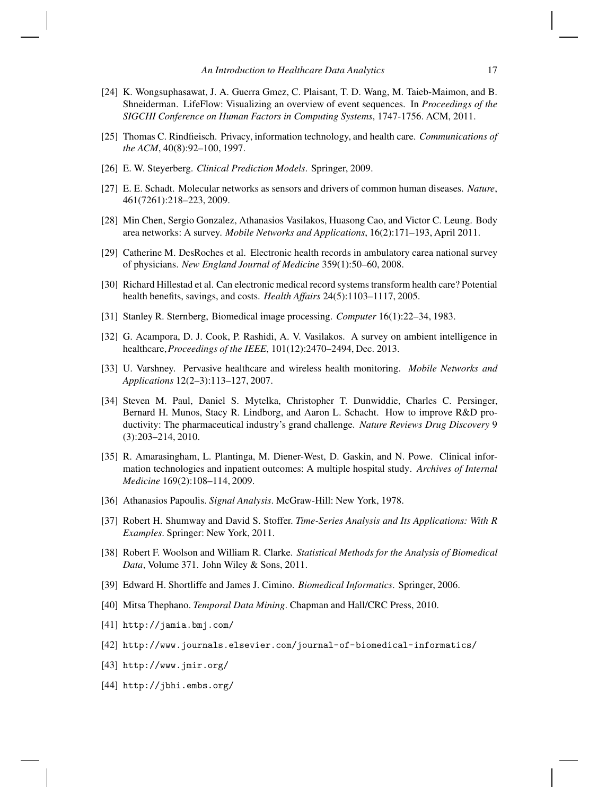- [24] K. Wongsuphasawat, J. A. Guerra Gmez, C. Plaisant, T. D. Wang, M. Taieb-Maimon, and B. Shneiderman. LifeFlow: Visualizing an overview of event sequences. In *Proceedings of the SIGCHI Conference on Human Factors in Computing Systems*, 1747-1756. ACM, 2011.
- [25] Thomas C. Rindfieisch. Privacy, information technology, and health care. *Communications of the ACM*, 40(8):92–100, 1997.
- [26] E. W. Steyerberg. *Clinical Prediction Models*. Springer, 2009.
- [27] E. E. Schadt. Molecular networks as sensors and drivers of common human diseases. *Nature*, 461(7261):218–223, 2009.
- [28] Min Chen, Sergio Gonzalez, Athanasios Vasilakos, Huasong Cao, and Victor C. Leung. Body area networks: A survey. *Mobile Networks and Applications*, 16(2):171–193, April 2011.
- [29] Catherine M. DesRoches et al. Electronic health records in ambulatory carea national survey of physicians. *New England Journal of Medicine* 359(1):50–60, 2008.
- [30] Richard Hillestad et al. Can electronic medical record systems transform health care? Potential health benefits, savings, and costs. *Health Affairs* 24(5):1103–1117, 2005.
- [31] Stanley R. Sternberg, Biomedical image processing. *Computer* 16(1):22–34, 1983.
- [32] G. Acampora, D. J. Cook, P. Rashidi, A. V. Vasilakos. A survey on ambient intelligence in healthcare,*Proceedings of the IEEE*, 101(12):2470–2494, Dec. 2013.
- [33] U. Varshney. Pervasive healthcare and wireless health monitoring. *Mobile Networks and Applications* 12(2–3):113–127, 2007.
- [34] Steven M. Paul, Daniel S. Mytelka, Christopher T. Dunwiddie, Charles C. Persinger, Bernard H. Munos, Stacy R. Lindborg, and Aaron L. Schacht. How to improve R&D productivity: The pharmaceutical industry's grand challenge. *Nature Reviews Drug Discovery* 9 (3):203–214, 2010.
- [35] R. Amarasingham, L. Plantinga, M. Diener-West, D. Gaskin, and N. Powe. Clinical information technologies and inpatient outcomes: A multiple hospital study. *Archives of Internal Medicine* 169(2):108–114, 2009.
- [36] Athanasios Papoulis. *Signal Analysis*. McGraw-Hill: New York, 1978.
- [37] Robert H. Shumway and David S. Stoffer. *Time-Series Analysis and Its Applications: With R Examples*. Springer: New York, 2011.
- [38] Robert F. Woolson and William R. Clarke. *Statistical Methods for the Analysis of Biomedical Data*, Volume 371. John Wiley & Sons, 2011.
- [39] Edward H. Shortliffe and James J. Cimino. *Biomedical Informatics*. Springer, 2006.
- [40] Mitsa Thephano. *Temporal Data Mining*. Chapman and Hall/CRC Press, 2010.
- [41] http://jamia.bmj.com/
- [42] http://www.journals.elsevier.com/journal-of-biomedical-informatics/
- [43] http://www.jmir.org/
- [44] http://jbhi.embs.org/